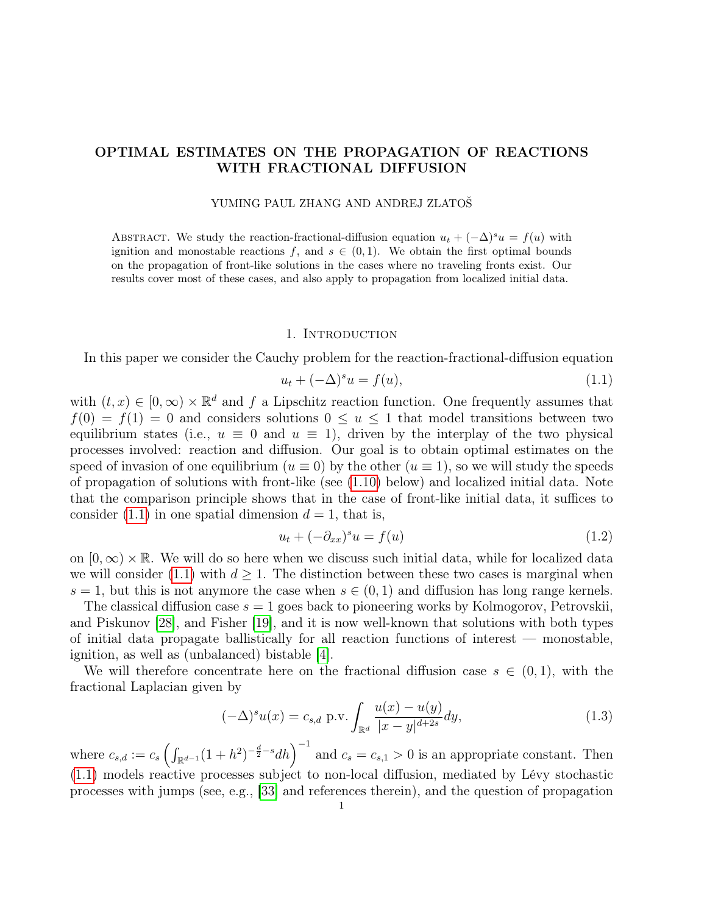# OPTIMAL ESTIMATES ON THE PROPAGATION OF REACTIONS WITH FRACTIONAL DIFFUSION

### YUMING PAUL ZHANG AND ANDREJ ZLATOŠ

ABSTRACT. We study the reaction-fractional-diffusion equation  $u_t + (-\Delta)^s u = f(u)$  with ignition and monostable reactions f, and  $s \in (0,1)$ . We obtain the first optimal bounds on the propagation of front-like solutions in the cases where no traveling fronts exist. Our results cover most of these cases, and also apply to propagation from localized initial data.

#### 1. Introduction

In this paper we consider the Cauchy problem for the reaction-fractional-diffusion equation

<span id="page-0-0"></span>
$$
u_t + (-\Delta)^s u = f(u),\tag{1.1}
$$

with  $(t, x) \in [0, \infty) \times \mathbb{R}^d$  and f a Lipschitz reaction function. One frequently assumes that  $f(0) = f(1) = 0$  and considers solutions  $0 \le u \le 1$  that model transitions between two equilibrium states (i.e.,  $u \equiv 0$  and  $u \equiv 1$ ), driven by the interplay of the two physical processes involved: reaction and diffusion. Our goal is to obtain optimal estimates on the speed of invasion of one equilibrium ( $u \equiv 0$ ) by the other ( $u \equiv 1$ ), so we will study the speeds of propagation of solutions with front-like (see [\(1.10\)](#page-2-0) below) and localized initial data. Note that the comparison principle shows that in the case of front-like initial data, it suffices to consider [\(1.1\)](#page-0-0) in one spatial dimension  $d = 1$ , that is,

<span id="page-0-1"></span>
$$
u_t + (-\partial_{xx})^s u = f(u) \tag{1.2}
$$

on  $[0,\infty) \times \mathbb{R}$ . We will do so here when we discuss such initial data, while for localized data we will consider [\(1.1\)](#page-0-0) with  $d > 1$ . The distinction between these two cases is marginal when  $s = 1$ , but this is not anymore the case when  $s \in (0, 1)$  and diffusion has long range kernels.

The classical diffusion case  $s = 1$  goes back to pioneering works by Kolmogorov, Petrovskii, and Piskunov [\[28\]](#page-27-0), and Fisher [\[19\]](#page-26-0), and it is now well-known that solutions with both types of initial data propagate ballistically for all reaction functions of interest — monostable, ignition, as well as (unbalanced) bistable [\[4\]](#page-26-1).

We will therefore concentrate here on the fractional diffusion case  $s \in (0,1)$ , with the fractional Laplacian given by

<span id="page-0-2"></span>
$$
(-\Delta)^{s} u(x) = c_{s,d} \text{ p.v.} \int_{\mathbb{R}^d} \frac{u(x) - u(y)}{|x - y|^{d + 2s}} dy,
$$
\n(1.3)

where  $c_{s,d} := c_s \left( \int_{\mathbb{R}^{d-1}} (1+h^2)^{-\frac{d}{2}-s} dh \right)^{-1}$  and  $c_s = c_{s,1} > 0$  is an appropriate constant. Then [\(1.1\)](#page-0-0) models reactive processes subject to non-local diffusion, mediated by Lévy stochastic processes with jumps (see, e.g., [\[33\]](#page-27-1) and references therein), and the question of propagation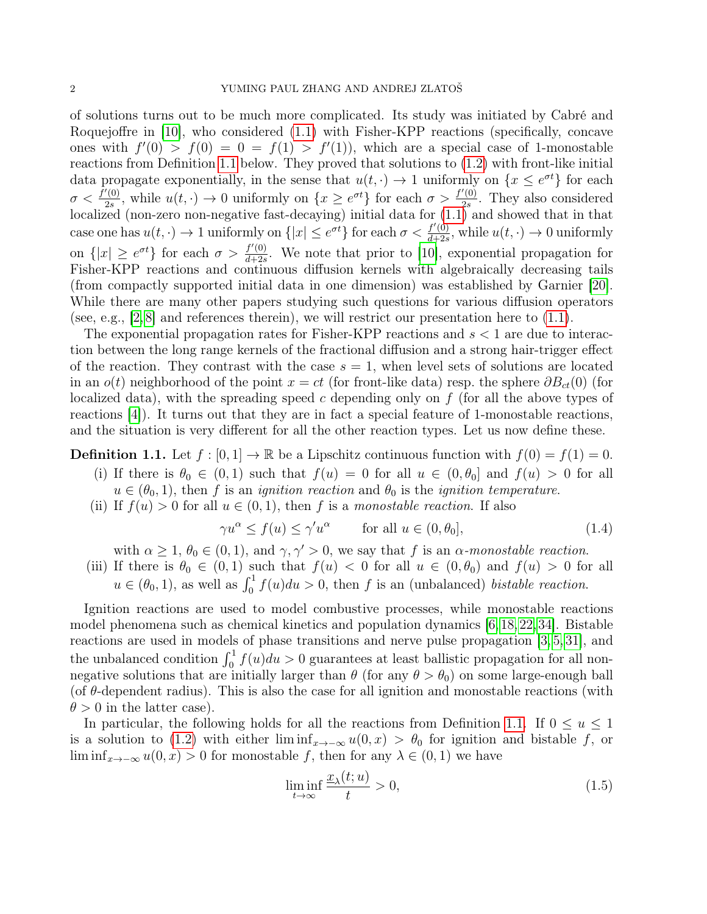of solutions turns out to be much more complicated. Its study was initiated by Cabré and Roquejoffre in [\[10\]](#page-26-2), who considered [\(1.1\)](#page-0-0) with Fisher-KPP reactions (specifically, concave ones with  $f'(0) > f(0) = 0 = f(1) > f'(1)$ , which are a special case of 1-monostable reactions from Definition [1.1](#page-1-0) below. They proved that solutions to [\(1.2\)](#page-0-1) with front-like initial data propagate exponentially, in the sense that  $u(t, \cdot) \to 1$  uniformly on  $\{x \leq e^{\sigma t}\}\$ for each  $\sigma < \frac{f'(0)}{2s}$  $\frac{f'(0)}{2s}$ , while  $u(t, \cdot) \to 0$  uniformly on  $\{x \geq e^{\sigma t}\}\)$  for each  $\sigma > \frac{f'(0)}{2s}$  $\frac{(0)}{2s}$ . They also considered localized (non-zero non-negative fast-decaying) initial data for [\(1.1\)](#page-0-0) and showed that in that case one has  $u(t, \cdot) \to 1$  uniformly on  $\{|x| \leq e^{\sigma t}\}\$ for each  $\sigma < \frac{f'(0)}{d+2\varepsilon}$  $\frac{f'(0)}{d+2s}$ , while  $u(t, \cdot) \to 0$  uniformly on  $\{|x| \geq e^{\sigma t}\}\$ for each  $\sigma > \frac{f'(0)}{d+2s}$  $\frac{f'(0)}{d+2s}$ . We note that prior to [\[10\]](#page-26-2), exponential propagation for Fisher-KPP reactions and continuous diffusion kernels with algebraically decreasing tails (from compactly supported initial data in one dimension) was established by Garnier [\[20\]](#page-26-3). While there are many other papers studying such questions for various diffusion operators (see, e.g.,  $[2, 8]$  $[2, 8]$  and references therein), we will restrict our presentation here to  $(1.1)$ .

The exponential propagation rates for Fisher-KPP reactions and  $s < 1$  are due to interaction between the long range kernels of the fractional diffusion and a strong hair-trigger effect of the reaction. They contrast with the case  $s = 1$ , when level sets of solutions are located in an  $o(t)$  neighborhood of the point  $x = ct$  (for front-like data) resp. the sphere  $\partial B_{ct}(0)$  (for localized data), with the spreading speed  $c$  depending only on  $f$  (for all the above types of reactions [\[4\]](#page-26-1)). It turns out that they are in fact a special feature of 1-monostable reactions, and the situation is very different for all the other reaction types. Let us now define these.

<span id="page-1-0"></span>**Definition 1.1.** Let  $f : [0, 1] \to \mathbb{R}$  be a Lipschitz continuous function with  $f(0) = f(1) = 0$ .

- (i) If there is  $\theta_0 \in (0,1)$  such that  $f(u) = 0$  for all  $u \in (0,\theta_0]$  and  $f(u) > 0$  for all  $u \in (\theta_0, 1)$ , then f is an *ignition reaction* and  $\theta_0$  is the *ignition temperature*.
- (ii) If  $f(u) > 0$  for all  $u \in (0, 1)$ , then f is a monostable reaction. If also

<span id="page-1-2"></span>
$$
\gamma u^{\alpha} \le f(u) \le \gamma' u^{\alpha} \qquad \text{for all } u \in (0, \theta_0], \tag{1.4}
$$

with  $\alpha \geq 1$ ,  $\theta_0 \in (0,1)$ , and  $\gamma, \gamma' > 0$ , we say that f is an  $\alpha$ -monostable reaction.

(iii) If there is  $\theta_0 \in (0,1)$  such that  $f(u) < 0$  for all  $u \in (0,\theta_0)$  and  $f(u) > 0$  for all  $u \in (\theta_0, 1)$ , as well as  $\int_0^1 f(u) du > 0$ , then f is an (unbalanced) bistable reaction.

Ignition reactions are used to model combustive processes, while monostable reactions model phenomena such as chemical kinetics and population dynamics [\[6,](#page-26-6)[18,](#page-26-7)[22,](#page-26-8)[34\]](#page-27-2). Bistable reactions are used in models of phase transitions and nerve pulse propagation [\[3,](#page-26-9) [5,](#page-26-10) [31\]](#page-27-3), and the unbalanced condition  $\int_0^1 f(u)du > 0$  guarantees at least ballistic propagation for all nonnegative solutions that are initially larger than  $\theta$  (for any  $\theta > \theta_0$ ) on some large-enough ball (of  $\theta$ -dependent radius). This is also the case for all ignition and monostable reactions (with  $\theta > 0$  in the latter case).

In particular, the following holds for all the reactions from Definition [1.1.](#page-1-0) If  $0 \le u \le 1$ is a solution to [\(1.2\)](#page-0-1) with either lim inf<sub>x→-∞</sub>  $u(0, x) > \theta_0$  for ignition and bistable f, or lim inf<sub>x→−∞</sub>  $u(0, x) > 0$  for monostable f, then for any  $\lambda \in (0, 1)$  we have

<span id="page-1-1"></span>
$$
\liminf_{t \to \infty} \frac{x_{\lambda}(t; u)}{t} > 0,\tag{1.5}
$$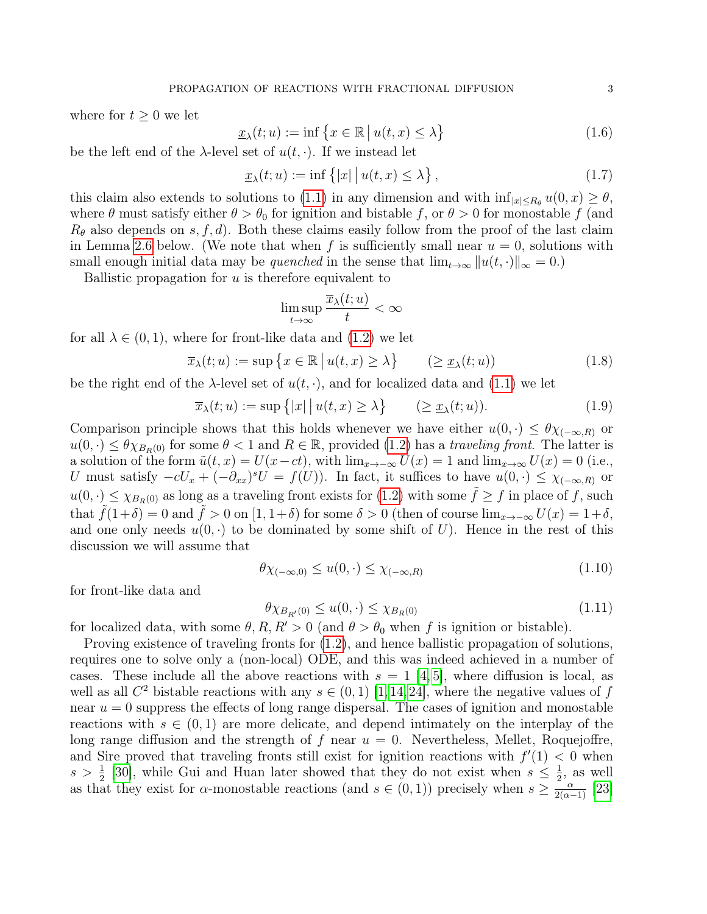where for  $t \geq 0$  we let

<span id="page-2-1"></span>
$$
\underline{x}_{\lambda}(t; u) := \inf \left\{ x \in \mathbb{R} \mid u(t, x) \le \lambda \right\} \tag{1.6}
$$

be the left end of the  $\lambda$ -level set of  $u(t, \cdot)$ . If we instead let

<span id="page-2-4"></span>
$$
\underline{x}_{\lambda}(t; u) := \inf \{|x| \, | u(t, x) \le \lambda\},\tag{1.7}
$$

this claim also extends to solutions to [\(1.1\)](#page-0-0) in any dimension and with  $\inf_{|x| \le R_\theta} u(0, x) \ge \theta$ , where  $\theta$  must satisfy either  $\theta > \theta_0$  for ignition and bistable f, or  $\theta > 0$  for monostable f (and  $R_{\theta}$  also depends on s, f, d). Both these claims easily follow from the proof of the last claim in Lemma [2.6](#page-10-0) below. (We note that when f is sufficiently small near  $u = 0$ , solutions with small enough initial data may be quenched in the sense that  $\lim_{t\to\infty} ||u(t, \cdot)||_{\infty} = 0.$ 

Ballistic propagation for  $u$  is therefore equivalent to

$$
\limsup_{t \to \infty} \frac{\overline{x}_{\lambda}(t; u)}{t} < \infty
$$

for all  $\lambda \in (0,1)$ , where for front-like data and  $(1.2)$  we let

<span id="page-2-2"></span>
$$
\overline{x}_{\lambda}(t;u) := \sup \{ x \in \mathbb{R} \mid u(t,x) \ge \lambda \} \qquad (\ge \underline{x}_{\lambda}(t;u)) \tag{1.8}
$$

be the right end of the  $\lambda$ -level set of  $u(t, \cdot)$ , and for localized data and [\(1.1\)](#page-0-0) we let

<span id="page-2-5"></span>
$$
\overline{x}_{\lambda}(t;u) := \sup\{|x| \, | \, u(t,x) \ge \lambda\} \qquad (\ge \underline{x}_{\lambda}(t;u)). \tag{1.9}
$$

Comparison principle shows that this holds whenever we have either  $u(0, \cdot) \leq \theta \chi_{(-\infty,R)}$  or  $u(0, \cdot) \leq \theta \chi_{B_R(0)}$  for some  $\theta < 1$  and  $R \in \mathbb{R}$ , provided [\(1.2\)](#page-0-1) has a traveling front. The latter is a solution of the form  $\tilde{u}(t, x) = U(x-ct)$ , with  $\lim_{x\to-\infty} U(x) = 1$  and  $\lim_{x\to\infty} U(x) = 0$  (i.e., U must satisfy  $-cU_x + (-\partial_{xx})^s U = f(U)$ ). In fact, it suffices to have  $u(0, \cdot) \leq \chi_{(-\infty,R)}$  or  $u(0, \cdot) \leq \chi_{B_R(0)}$  as long as a traveling front exists for [\(1.2\)](#page-0-1) with some  $\tilde{f} \geq f$  in place of f, such that  $\hat{f}(1+\delta) = 0$  and  $\hat{f} > 0$  on  $[1, 1+\delta)$  for some  $\delta > 0$  (then of course  $\lim_{x\to -\infty} U(x) = 1+\delta$ , and one only needs  $u(0, \cdot)$  to be dominated by some shift of U). Hence in the rest of this discussion we will assume that

<span id="page-2-0"></span>
$$
\theta \chi_{(-\infty,0)} \le u(0,\cdot) \le \chi_{(-\infty,R)} \tag{1.10}
$$

for front-like data and

<span id="page-2-3"></span>
$$
\theta \chi_{B_{R'}(0)} \le u(0, \cdot) \le \chi_{B_R(0)} \tag{1.11}
$$

for localized data, with some  $\theta, R, R' > 0$  (and  $\theta > \theta_0$  when f is ignition or bistable).

Proving existence of traveling fronts for [\(1.2\)](#page-0-1), and hence ballistic propagation of solutions, requires one to solve only a (non-local) ODE, and this was indeed achieved in a number of cases. These include all the above reactions with  $s = 1 \, |4, 5|$ , where diffusion is local, as well as all  $C^2$  bistable reactions with any  $s \in (0,1)$  [\[1,](#page-26-11) [14,](#page-26-12) [24\]](#page-26-13), where the negative values of f near  $u = 0$  suppress the effects of long range dispersal. The cases of ignition and monostable reactions with  $s \in (0, 1)$  are more delicate, and depend intimately on the interplay of the long range diffusion and the strength of f near  $u = 0$ . Nevertheless, Mellet, Roquejoffre, and Sire proved that traveling fronts still exist for ignition reactions with  $f'(1) < 0$  when  $s > \frac{1}{2}$  [\[30\]](#page-27-4), while Gui and Huan later showed that they do not exist when  $s \leq \frac{1}{2}$  $\frac{1}{2}$ , as well as that they exist for  $\alpha$ -monostable reactions (and  $s \in (0,1)$ ) precisely when  $s \geq \frac{a}{2(\alpha-1)}$  [\[23\]](#page-26-14)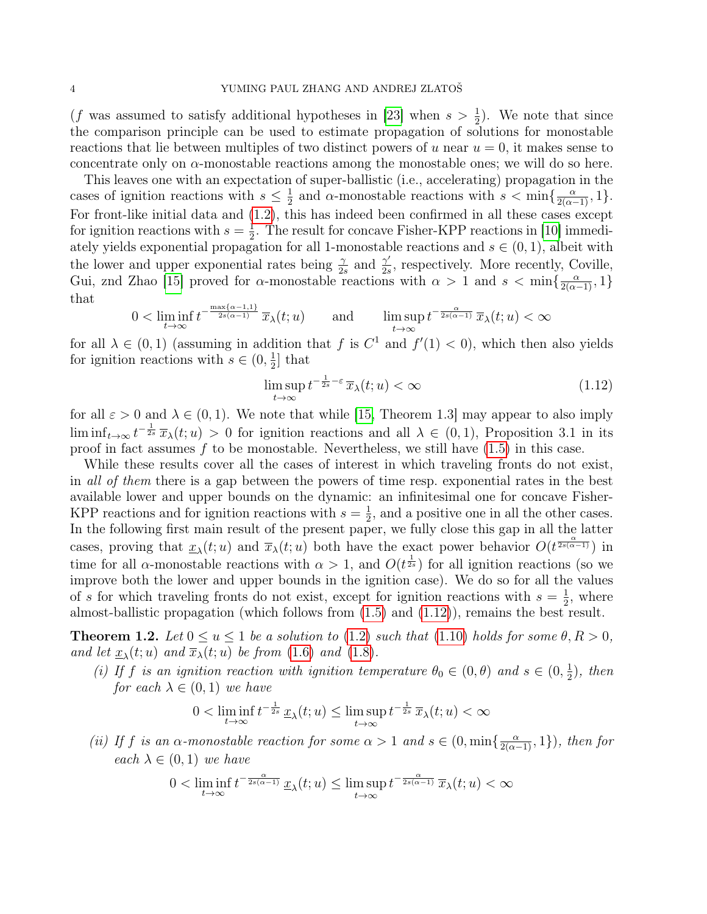(f was assumed to satisfy additional hypotheses in [\[23\]](#page-26-14) when  $s > \frac{1}{2}$ ). We note that since the comparison principle can be used to estimate propagation of solutions for monostable reactions that lie between multiples of two distinct powers of u near  $u = 0$ , it makes sense to concentrate only on  $\alpha$ -monostable reactions among the monostable ones; we will do so here.

This leaves one with an expectation of super-ballistic (i.e., accelerating) propagation in the cases of ignition reactions with  $s \leq \frac{1}{2}$  $\frac{1}{2}$  and  $\alpha$ -monostable reactions with  $s < \min\{\frac{\alpha}{2(\alpha-1)}, 1\}.$ For front-like initial data and [\(1.2\)](#page-0-1), this has indeed been confirmed in all these cases except for ignition reactions with  $s=\frac{1}{2}$  $\frac{1}{2}$ . The result for concave Fisher-KPP reactions in [\[10\]](#page-26-2) immediately yields exponential propagation for all 1-monostable reactions and  $s \in (0,1)$ , albeit with the lower and upper exponential rates being  $\frac{\gamma}{2s}$  and  $\frac{\gamma'}{2s}$  $\frac{\gamma'}{2s}$ , respectively. More recently, Coville, Gui, znd Zhao [\[15\]](#page-26-15) proved for  $\alpha$ -monostable reactions with  $\alpha > 1$  and  $s < \min\{\frac{\alpha}{2(\alpha-1)}, 1\}$ that

$$
0 < \liminf_{t \to \infty} t^{-\frac{\max\{\alpha - 1, 1\}}{2s(\alpha - 1)}} \overline{x}_{\lambda}(t; u) \qquad \text{and} \qquad \limsup_{t \to \infty} t^{-\frac{\alpha}{2s(\alpha - 1)}} \overline{x}_{\lambda}(t; u) < \infty
$$

for all  $\lambda \in (0,1)$  (assuming in addition that f is  $C^1$  and  $f'(1) < 0$ ), which then also yields for ignition reactions with  $s \in (0, \frac{1}{2})$  $\frac{1}{2}$  that

<span id="page-3-0"></span>
$$
\limsup_{t \to \infty} t^{-\frac{1}{2s} - \varepsilon} \overline{x}_{\lambda}(t; u) < \infty \tag{1.12}
$$

for all  $\varepsilon > 0$  and  $\lambda \in (0, 1)$ . We note that while [\[15,](#page-26-15) Theorem 1.3] may appear to also imply lim inf<sub>t→∞</sub>  $t^{-\frac{1}{2s}} \overline{x}_{\lambda}(t; u) > 0$  for ignition reactions and all  $\lambda \in (0, 1)$ , Proposition 3.1 in its proof in fact assumes  $f$  to be monostable. Nevertheless, we still have  $(1.5)$  in this case.

While these results cover all the cases of interest in which traveling fronts do not exist, in all of them there is a gap between the powers of time resp. exponential rates in the best available lower and upper bounds on the dynamic: an infinitesimal one for concave Fisher-KPP reactions and for ignition reactions with  $s=\frac{1}{2}$  $\frac{1}{2}$ , and a positive one in all the other cases. In the following first main result of the present paper, we fully close this gap in all the latter cases, proving that  $\underline{x}_{\lambda}(t;u)$  and  $\overline{x}_{\lambda}(t;u)$  both have the exact power behavior  $O(t^{\frac{\alpha}{2s(\alpha-1)}})$  in time for all  $\alpha$ -monostable reactions with  $\alpha > 1$ , and  $O(t^{\frac{1}{2s}})$  for all ignition reactions (so we improve both the lower and upper bounds in the ignition case). We do so for all the values of s for which traveling fronts do not exist, except for ignition reactions with  $s = \frac{1}{2}$  $\frac{1}{2}$ , where almost-ballistic propagation (which follows from [\(1.5\)](#page-1-1) and [\(1.12\)](#page-3-0)), remains the best result.

<span id="page-3-1"></span>**Theorem 1.2.** Let  $0 \le u \le 1$  be a solution to [\(1.2\)](#page-0-1) such that [\(1.10\)](#page-2-0) holds for some  $\theta, R > 0$ , and let  $\underline{x}_{\lambda}(t;u)$  and  $\overline{x}_{\lambda}(t;u)$  be from [\(1.6\)](#page-2-1) and [\(1.8\)](#page-2-2).

(i) If f is an ignition reaction with ignition temperature  $\theta_0 \in (0, \theta)$  and  $s \in (0, \frac{1}{2})$  $(\frac{1}{2})$ , then for each  $\lambda \in (0,1)$  we have

$$
0 < \liminf_{t \to \infty} t^{-\frac{1}{2s}} \underline{x}_{\lambda}(t; u) \le \limsup_{t \to \infty} t^{-\frac{1}{2s}} \overline{x}_{\lambda}(t; u) < \infty
$$

(ii) If f is an  $\alpha$ -monostable reaction for some  $\alpha > 1$  and  $s \in (0, \min\{\frac{\alpha}{2(\alpha-1)}, 1\})$ , then for each  $\lambda \in (0,1)$  we have

$$
0 < \liminf_{t \to \infty} t^{-\frac{\alpha}{2s(\alpha-1)}} \underline{x}_{\lambda}(t; u) \le \limsup_{t \to \infty} t^{-\frac{\alpha}{2s(\alpha-1)}} \, \overline{x}_{\lambda}(t; u) < \infty
$$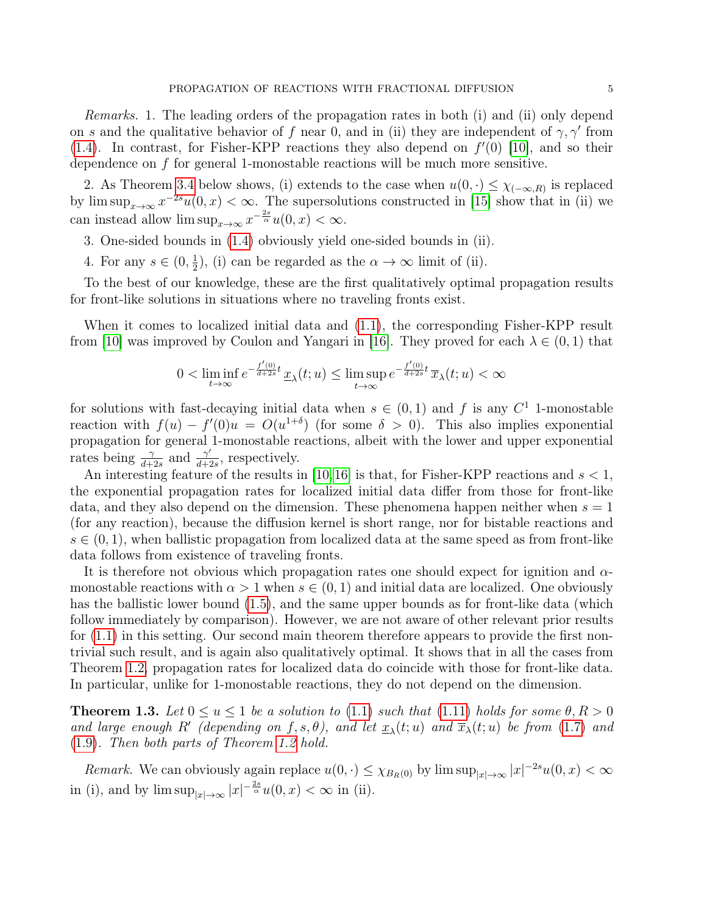Remarks. 1. The leading orders of the propagation rates in both (i) and (ii) only depend on s and the qualitative behavior of f near 0, and in (ii) they are independent of  $\gamma$ ,  $\gamma'$  from  $(1.4)$ . In contrast, for Fisher-KPP reactions they also depend on  $f'(0)$  [\[10\]](#page-26-2), and so their dependence on f for general 1-monostable reactions will be much more sensitive.

2. As Theorem [3.4](#page-14-0) below shows, (i) extends to the case when  $u(0, \cdot) \leq \chi_{(-\infty,R)}$  is replaced by  $\limsup_{x\to\infty} x^{-2s}u(0, x) < \infty$ . The supersolutions constructed in [\[15\]](#page-26-15) show that in (ii) we can instead allow  $\limsup_{x\to\infty} x^{-\frac{2s}{\alpha}}u(0, x) < \infty$ .

3. One-sided bounds in [\(1.4\)](#page-1-2) obviously yield one-sided bounds in (ii).

4. For any  $s \in (0, \frac{1}{2})$  $(\frac{1}{2})$ , (i) can be regarded as the  $\alpha \to \infty$  limit of (ii).

To the best of our knowledge, these are the first qualitatively optimal propagation results for front-like solutions in situations where no traveling fronts exist.

When it comes to localized initial data and [\(1.1\)](#page-0-0), the corresponding Fisher-KPP result from [\[10\]](#page-26-2) was improved by Coulon and Yangari in [\[16\]](#page-26-16). They proved for each  $\lambda \in (0,1)$  that

$$
0 < \liminf_{t \to \infty} e^{-\frac{f'(0)}{d+2s}t} \underline{x}_{\lambda}(t; u) \le \limsup_{t \to \infty} e^{-\frac{f'(0)}{d+2s}t} \overline{x}_{\lambda}(t; u) < \infty
$$

for solutions with fast-decaying initial data when  $s \in (0,1)$  and f is any  $C^1$  1-monostable reaction with  $f(u) - f'(0)u = O(u^{1+\delta})$  (for some  $\delta > 0$ ). This also implies exponential propagation for general 1-monostable reactions, albeit with the lower and upper exponential rates being  $\frac{\gamma}{d+2s}$  and  $\frac{\gamma'}{d+2s}$  $\frac{\gamma}{d+2s}$ , respectively.

An interesting feature of the results in [\[10,](#page-26-2)[16\]](#page-26-16) is that, for Fisher-KPP reactions and  $s < 1$ , the exponential propagation rates for localized initial data differ from those for front-like data, and they also depend on the dimension. These phenomena happen neither when  $s = 1$ (for any reaction), because the diffusion kernel is short range, nor for bistable reactions and  $s \in (0, 1)$ , when ballistic propagation from localized data at the same speed as from front-like data follows from existence of traveling fronts.

It is therefore not obvious which propagation rates one should expect for ignition and  $\alpha$ monostable reactions with  $\alpha > 1$  when  $s \in (0, 1)$  and initial data are localized. One obviously has the ballistic lower bound  $(1.5)$ , and the same upper bounds as for front-like data (which follow immediately by comparison). However, we are not aware of other relevant prior results for [\(1.1\)](#page-0-0) in this setting. Our second main theorem therefore appears to provide the first nontrivial such result, and is again also qualitatively optimal. It shows that in all the cases from Theorem [1.2,](#page-3-1) propagation rates for localized data do coincide with those for front-like data. In particular, unlike for 1-monostable reactions, they do not depend on the dimension.

<span id="page-4-0"></span>**Theorem 1.3.** Let  $0 \le u \le 1$  be a solution to [\(1.1\)](#page-0-0) such that [\(1.11\)](#page-2-3) holds for some  $\theta, R > 0$ and large enough R' (depending on  $f, s, \theta$ ), and let  $\underline{x}_{\lambda}(t; u)$  and  $\overline{x}_{\lambda}(t; u)$  be from [\(1.7\)](#page-2-4) and [\(1.9\)](#page-2-5). Then both parts of Theorem [1.2](#page-3-1) hold.

Remark. We can obviously again replace  $u(0, \cdot) \leq \chi_{B_R(0)}$  by  $\limsup_{|x| \to \infty} |x|^{-2s} u(0, x) < \infty$ in (i), and by  $\limsup_{|x|\to\infty} |x|^{-\frac{2s}{\alpha}}u(0, x) < \infty$  in (ii).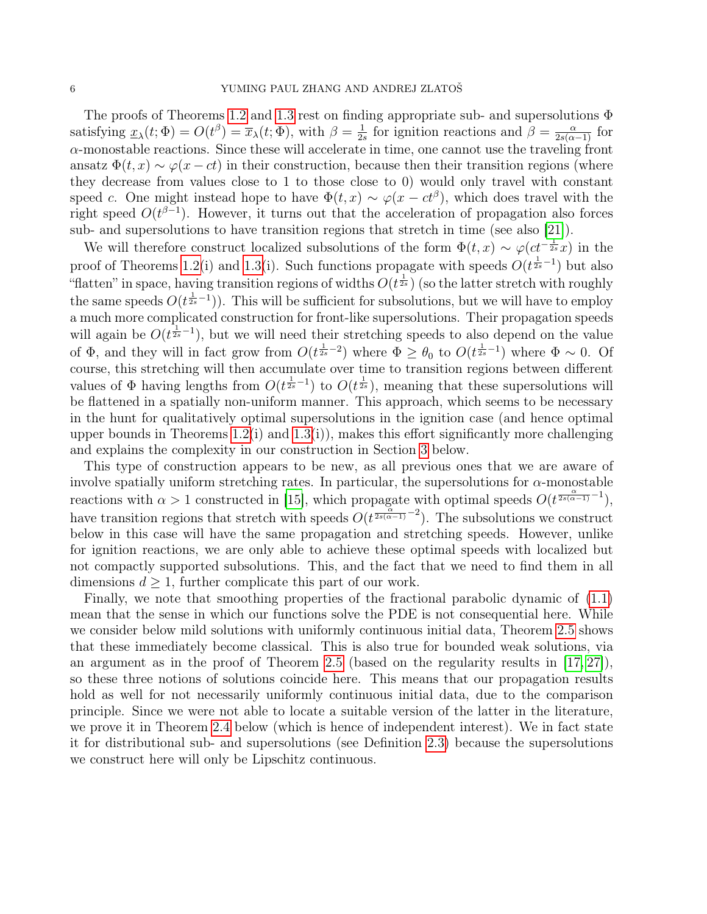The proofs of Theorems [1.2](#page-3-1) and [1.3](#page-4-0) rest on finding appropriate sub- and supersolutions Φ satisfying  $\underline{x}_{\lambda}(t; \Phi) = O(t^{\beta}) = \overline{x}_{\lambda}(t; \Phi)$ , with  $\beta = \frac{1}{2\beta}$  $\frac{1}{2s}$  for ignition reactions and  $\beta = \frac{\alpha}{2s(\alpha-1)}$  for α-monostable reactions. Since these will accelerate in time, one cannot use the traveling front ansatz  $\Phi(t, x) \sim \varphi(x-ct)$  in their construction, because then their transition regions (where they decrease from values close to 1 to those close to 0) would only travel with constant speed c. One might instead hope to have  $\Phi(t, x) \sim \varphi(x - ct^{\beta})$ , which does travel with the right speed  $O(t^{\beta-1})$ . However, it turns out that the acceleration of propagation also forces sub- and supersolutions to have transition regions that stretch in time (see also [\[21\]](#page-26-17)).

We will therefore construct localized subsolutions of the form  $\Phi(t,x) \sim \varphi(ct^{-\frac{1}{2s}}x)$  in the proof of Theorems [1.2\(](#page-3-1)i) and [1.3\(](#page-4-0)i). Such functions propagate with speeds  $O(t^{\frac{1}{2s}-1})$  but also "flatten" in space, having transition regions of widths  $O(t^{\frac{1}{2s}})$  (so the latter stretch with roughly the same speeds  $O(t^{\frac{1}{2s}-1})$ . This will be sufficient for subsolutions, but we will have to employ a much more complicated construction for front-like supersolutions. Their propagation speeds will again be  $O(t^{\frac{1}{2s}-1})$ , but we will need their stretching speeds to also depend on the value of  $\Phi$ , and they will in fact grow from  $O(t^{\frac{1}{2s}-2})$  where  $\Phi \geq \theta_0$  to  $O(t^{\frac{1}{2s}-1})$  where  $\Phi \sim 0$ . Of course, this stretching will then accumulate over time to transition regions between different values of  $\Phi$  having lengths from  $O(t^{\frac{1}{2s}-1})$  to  $O(t^{\frac{1}{2s}})$ , meaning that these supersolutions will be flattened in a spatially non-uniform manner. This approach, which seems to be necessary in the hunt for qualitatively optimal supersolutions in the ignition case (and hence optimal upper bounds in Theorems  $1.2(i)$  and  $1.3(i)$ , makes this effort significantly more challenging and explains the complexity in our construction in Section [3](#page-10-1) below.

This type of construction appears to be new, as all previous ones that we are aware of involve spatially uniform stretching rates. In particular, the supersolutions for  $\alpha$ -monostable reactions with  $\alpha > 1$  constructed in [\[15\]](#page-26-15), which propagate with optimal speeds  $O(t^{\frac{\alpha}{2s(\alpha-1)}-1})$ , have transition regions that stretch with speeds  $O(t^{\frac{\alpha}{2s(\alpha-1)}-2})$ . The subsolutions we construct below in this case will have the same propagation and stretching speeds. However, unlike for ignition reactions, we are only able to achieve these optimal speeds with localized but not compactly supported subsolutions. This, and the fact that we need to find them in all dimensions  $d \geq 1$ , further complicate this part of our work.

Finally, we note that smoothing properties of the fractional parabolic dynamic of [\(1.1\)](#page-0-0) mean that the sense in which our functions solve the PDE is not consequential here. While we consider below mild solutions with uniformly continuous initial data, Theorem [2.5](#page-9-0) shows that these immediately become classical. This is also true for bounded weak solutions, via an argument as in the proof of Theorem [2.5](#page-9-0) (based on the regularity results in [\[17,](#page-26-18) [27\]](#page-27-5)), so these three notions of solutions coincide here. This means that our propagation results hold as well for not necessarily uniformly continuous initial data, due to the comparison principle. Since we were not able to locate a suitable version of the latter in the literature, we prove it in Theorem [2.4](#page-7-0) below (which is hence of independent interest). We in fact state it for distributional sub- and supersolutions (see Definition [2.3\)](#page-7-1) because the supersolutions we construct here will only be Lipschitz continuous.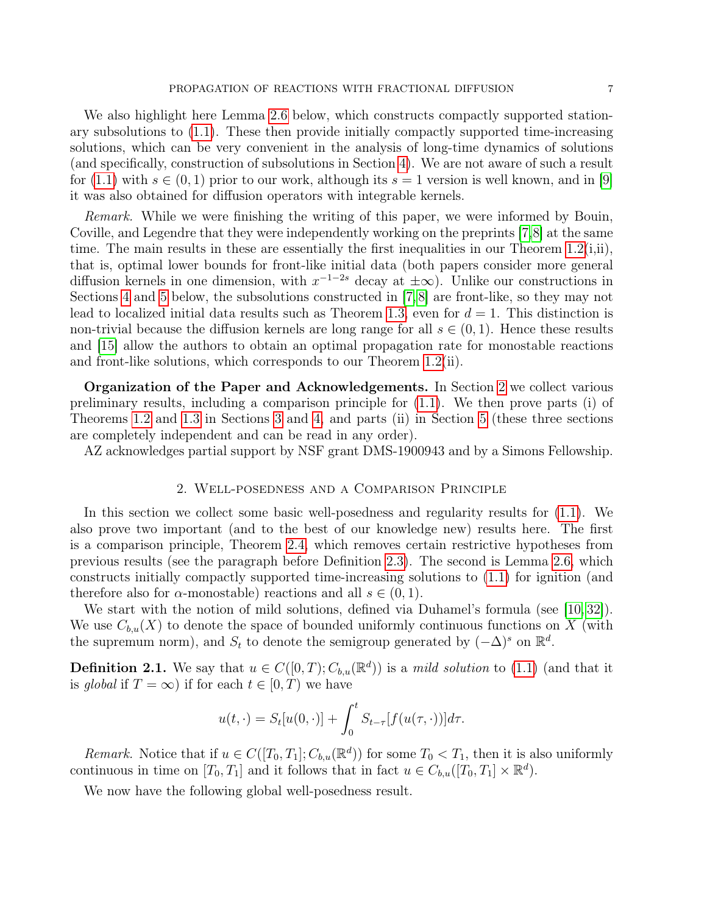We also highlight here Lemma [2.6](#page-10-0) below, which constructs compactly supported stationary subsolutions to [\(1.1\)](#page-0-0). These then provide initially compactly supported time-increasing solutions, which can be very convenient in the analysis of long-time dynamics of solutions (and specifically, construction of subsolutions in Section [4\)](#page-15-0). We are not aware of such a result for [\(1.1\)](#page-0-0) with  $s \in (0,1)$  prior to our work, although its  $s = 1$  version is well known, and in [\[9\]](#page-26-19) it was also obtained for diffusion operators with integrable kernels.

Remark. While we were finishing the writing of this paper, we were informed by Bouin, Coville, and Legendre that they were independently working on the preprints [\[7,](#page-26-20)[8\]](#page-26-5) at the same time. The main results in these are essentially the first inequalities in our Theorem  $1.2(i,ii)$ , that is, optimal lower bounds for front-like initial data (both papers consider more general diffusion kernels in one dimension, with  $x^{-1-2s}$  decay at  $\pm \infty$ ). Unlike our constructions in Sections [4](#page-15-0) and [5](#page-16-0) below, the subsolutions constructed in [\[7,](#page-26-20) [8\]](#page-26-5) are front-like, so they may not lead to localized initial data results such as Theorem [1.3,](#page-4-0) even for  $d = 1$ . This distinction is non-trivial because the diffusion kernels are long range for all  $s \in (0,1)$ . Hence these results and [\[15\]](#page-26-15) allow the authors to obtain an optimal propagation rate for monostable reactions and front-like solutions, which corresponds to our Theorem [1.2\(](#page-3-1)ii).

Organization of the Paper and Acknowledgements. In Section [2](#page-6-0) we collect various preliminary results, including a comparison principle for [\(1.1\)](#page-0-0). We then prove parts (i) of Theorems [1.2](#page-3-1) and [1.3](#page-4-0) in Sections [3](#page-10-1) and [4,](#page-15-0) and parts (ii) in Section [5](#page-16-0) (these three sections are completely independent and can be read in any order).

AZ acknowledges partial support by NSF grant DMS-1900943 and by a Simons Fellowship.

## 2. Well-posedness and a Comparison Principle

<span id="page-6-0"></span>In this section we collect some basic well-posedness and regularity results for [\(1.1\)](#page-0-0). We also prove two important (and to the best of our knowledge new) results here. The first is a comparison principle, Theorem [2.4,](#page-7-0) which removes certain restrictive hypotheses from previous results (see the paragraph before Definition [2.3\)](#page-7-1). The second is Lemma [2.6,](#page-10-0) which constructs initially compactly supported time-increasing solutions to [\(1.1\)](#page-0-0) for ignition (and therefore also for  $\alpha$ -monostable) reactions and all  $s \in (0,1)$ .

We start with the notion of mild solutions, defined via Duhamel's formula (see [\[10,](#page-26-2)32]). We use  $C_{b,u}(X)$  to denote the space of bounded uniformly continuous functions on X (with the supremum norm), and  $S_t$  to denote the semigroup generated by  $(-\Delta)^s$  on  $\mathbb{R}^d$ .

<span id="page-6-1"></span>**Definition 2.1.** We say that  $u \in C([0, T); C_{b,u}(\mathbb{R}^d))$  is a *mild solution* to [\(1.1\)](#page-0-0) (and that it is global if  $T = \infty$ ) if for each  $t \in [0, T)$  we have

$$
u(t,\cdot) = S_t[u(0,\cdot)] + \int_0^t S_{t-\tau}[f(u(\tau,\cdot))]d\tau.
$$

Remark. Notice that if  $u \in C([T_0, T_1]; C_{b,u}(\mathbb{R}^d))$  for some  $T_0 < T_1$ , then it is also uniformly continuous in time on  $[T_0, T_1]$  and it follows that in fact  $u \in C_{b,u}([T_0, T_1] \times \mathbb{R}^d)$ .

We now have the following global well-posedness result.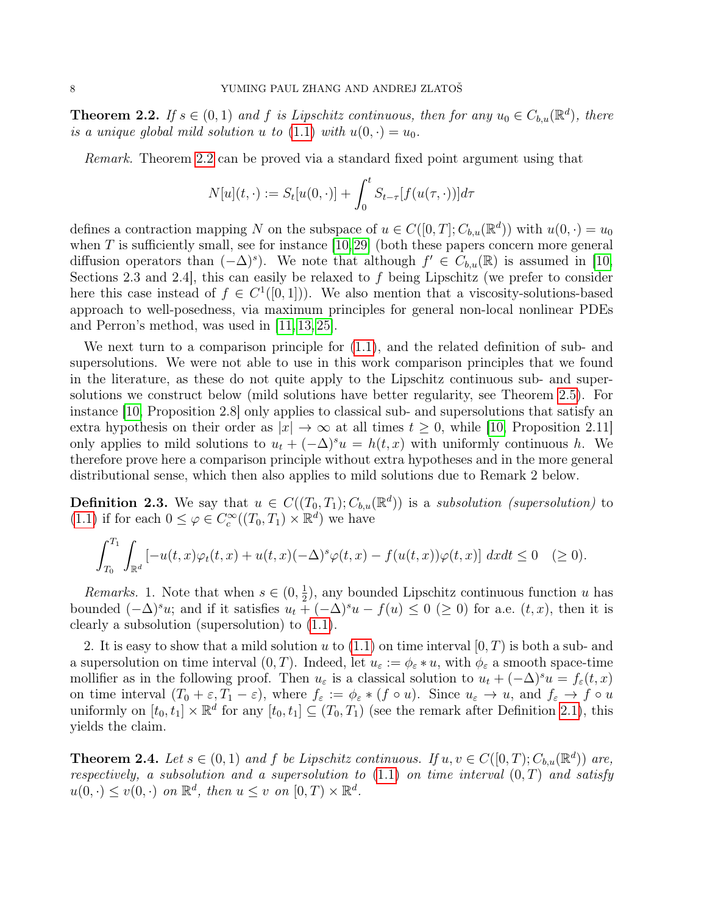<span id="page-7-2"></span>**Theorem 2.2.** If  $s \in (0,1)$  and f is Lipschitz continuous, then for any  $u_0 \in C_{b,u}(\mathbb{R}^d)$ , there is a unique global mild solution u to [\(1.1\)](#page-0-0) with  $u(0, \cdot) = u_0$ .

Remark. Theorem [2.2](#page-7-2) can be proved via a standard fixed point argument using that

$$
N[u](t,\cdot) := S_t[u(0,\cdot)] + \int_0^t S_{t-\tau}[f(u(\tau,\cdot))]d\tau
$$

defines a contraction mapping N on the subspace of  $u \in C([0, T]; C_{b,u}(\mathbb{R}^d))$  with  $u(0, \cdot) = u_0$ when  $T$  is sufficiently small, see for instance [\[10,](#page-26-2)[29\]](#page-27-7) (both these papers concern more general diffusion operators than  $(-\Delta)^s$ ). We note that although  $f' \in C_{b,u}(\mathbb{R})$  is assumed in [\[10,](#page-26-2) Sections 2.3 and 2.4, this can easily be relaxed to  $f$  being Lipschitz (we prefer to consider here this case instead of  $f \in C^1([0,1])$ . We also mention that a viscosity-solutions-based approach to well-posedness, via maximum principles for general non-local nonlinear PDEs and Perron's method, was used in [\[11,](#page-26-21) [13,](#page-26-22) [25\]](#page-27-8).

We next turn to a comparison principle for [\(1.1\)](#page-0-0), and the related definition of sub- and supersolutions. We were not able to use in this work comparison principles that we found in the literature, as these do not quite apply to the Lipschitz continuous sub- and supersolutions we construct below (mild solutions have better regularity, see Theorem [2.5\)](#page-9-0). For instance [\[10,](#page-26-2) Proposition 2.8] only applies to classical sub- and supersolutions that satisfy an extra hypothesis on their order as  $|x| \to \infty$  at all times  $t \geq 0$ , while [\[10,](#page-26-2) Proposition 2.11] only applies to mild solutions to  $u_t + (-\Delta)^s u = h(t, x)$  with uniformly continuous h. We therefore prove here a comparison principle without extra hypotheses and in the more general distributional sense, which then also applies to mild solutions due to Remark 2 below.

<span id="page-7-1"></span>**Definition 2.3.** We say that  $u \in C((T_0,T_1); C_{b,u}(\mathbb{R}^d))$  is a subsolution (supersolution) to [\(1.1\)](#page-0-0) if for each  $0 \leq \varphi \in C_c^{\infty}((T_0, T_1) \times \mathbb{R}^d)$  we have

$$
\int_{T_0}^{T_1} \int_{\mathbb{R}^d} \left[ -u(t,x)\varphi_t(t,x) + u(t,x)(-\Delta)^s \varphi(t,x) - f(u(t,x))\varphi(t,x) \right] dx dt \le 0 \quad (\ge 0).
$$

*Remarks.* 1. Note that when  $s \in (0, \frac{1}{2})$  $\frac{1}{2}$ , any bounded Lipschitz continuous function u has bounded  $(-\Delta)^s u$ ; and if it satisfies  $u_t + (-\Delta)^s u - f(u) \leq 0$  (≥ 0) for a.e.  $(t, x)$ , then it is clearly a subsolution (supersolution) to [\(1.1\)](#page-0-0).

2. It is easy to show that a mild solution  $u$  to  $(1.1)$  on time interval  $[0, T)$  is both a sub- and a supersolution on time interval  $(0, T)$ . Indeed, let  $u_{\varepsilon} := \phi_{\varepsilon} * u$ , with  $\phi_{\varepsilon}$  a smooth space-time mollifier as in the following proof. Then  $u_{\varepsilon}$  is a classical solution to  $u_t + (-\Delta)^s u = f_{\varepsilon}(t, x)$ on time interval  $(T_0 + \varepsilon, T_1 - \varepsilon)$ , where  $f_{\varepsilon} := \phi_{\varepsilon} * (f \circ u)$ . Since  $u_{\varepsilon} \to u$ , and  $f_{\varepsilon} \to f \circ u$ uniformly on  $[t_0, t_1] \times \mathbb{R}^d$  for any  $[t_0, t_1] \subseteq (T_0, T_1)$  (see the remark after Definition [2.1\)](#page-6-1), this yields the claim.

<span id="page-7-0"></span>**Theorem 2.4.** Let  $s \in (0,1)$  and f be Lipschitz continuous. If  $u, v \in C([0,T); C_{b,u}(\mathbb{R}^d))$  are, respectively, a subsolution and a supersolution to  $(1.1)$  on time interval  $(0,T)$  and satisfy  $u(0, \cdot) \le v(0, \cdot)$  on  $\mathbb{R}^d$ , then  $u \le v$  on  $[0, T) \times \mathbb{R}^d$ .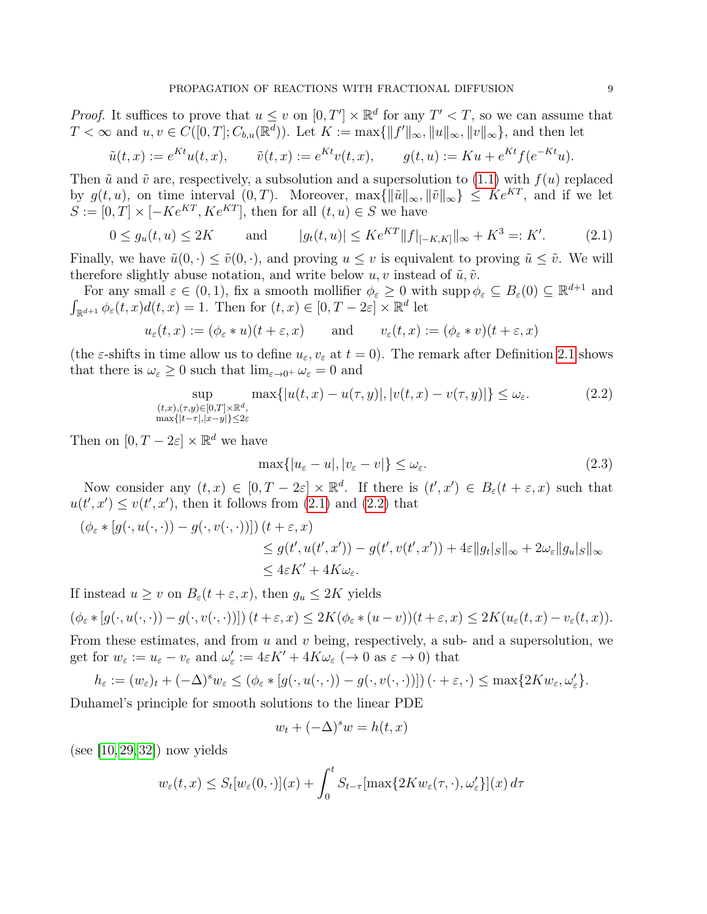*Proof.* It suffices to prove that  $u \leq v$  on  $[0, T'] \times \mathbb{R}^d$  for any  $T' < T$ , so we can assume that  $T < \infty$  and  $u, v \in C([0, T]; C_{b,u}(\mathbb{R}^d))$ . Let  $K := \max\{||f'||_{\infty}, ||u||_{\infty}, ||v||_{\infty}\}$ , and then let

$$
\tilde{u}(t,x) := e^{Kt}u(t,x), \qquad \tilde{v}(t,x) := e^{Kt}v(t,x), \qquad g(t,u) := Ku + e^{Kt}f(e^{-Kt}u).
$$

Then  $\tilde{u}$  and  $\tilde{v}$  are, respectively, a subsolution and a supersolution to [\(1.1\)](#page-0-0) with  $f(u)$  replaced by  $g(t, u)$ , on time interval  $(0, T)$ . Moreover,  $\max\{\|\tilde{u}\|_{\infty}, \|\tilde{v}\|_{\infty}\}\leq Ke^{KT}$ , and if we let  $S := [0, T] \times [-K e^{KT}, K e^{KT}]$ , then for all  $(t, u) \in S$  we have

<span id="page-8-0"></span>
$$
0 \le g_u(t, u) \le 2K \qquad \text{and} \qquad |g_t(t, u)| \le K e^{KT} ||f||_{[-K, K]} ||_{\infty} + K^3 =: K'. \tag{2.1}
$$

Finally, we have  $\tilde{u}(0, \cdot) \leq \tilde{v}(0, \cdot)$ , and proving  $u \leq v$  is equivalent to proving  $\tilde{u} \leq \tilde{v}$ . We will therefore slightly abuse notation, and write below  $u, v$  instead of  $\tilde{u}, \tilde{v}$ .

For any small  $\varepsilon \in (0,1)$ , fix a smooth mollifier  $\phi_{\varepsilon} \geq 0$  with supp  $\phi_{\varepsilon} \subseteq B_{\varepsilon}(0) \subseteq \mathbb{R}^{d+1}$  and  $\int_{\mathbb{R}^{d+1}} \phi_{\varepsilon}(t, x) d(t, x) = 1$ . Then for  $(t, x) \in [0, T - 2\varepsilon] \times \mathbb{R}^d$  let

$$
u_{\varepsilon}(t,x) := (\phi_{\varepsilon} * u)(t + \varepsilon, x)
$$
 and  $v_{\varepsilon}(t,x) := (\phi_{\varepsilon} * v)(t + \varepsilon, x)$ 

(the  $\varepsilon$ -shifts in time allow us to define  $u_{\varepsilon}, v_{\varepsilon}$  at  $t = 0$ ). The remark after Definition [2.1](#page-6-1) shows that there is  $\omega_{\varepsilon} \geq 0$  such that  $\lim_{\varepsilon \to 0^+} \omega_{\varepsilon} = 0$  and

<span id="page-8-1"></span>
$$
\sup_{\substack{(t,x),(\tau,y)\in[0,T]\times\mathbb{R}^d,\\ \max\{|t-\tau|,|x-y|\}\le 2\varepsilon}} \max\{|u(t,x)-u(\tau,y)|,|v(t,x)-v(\tau,y)|\}\le \omega_{\varepsilon}.\tag{2.2}
$$

Then on  $[0, T - 2\varepsilon] \times \mathbb{R}^d$  we have

<span id="page-8-2"></span>
$$
\max\{|u_{\varepsilon} - u|, |v_{\varepsilon} - v|\} \le \omega_{\varepsilon}.\tag{2.3}
$$

Now consider any  $(t, x) \in [0, T - 2\varepsilon] \times \mathbb{R}^d$ . If there is  $(t', x') \in B_{\varepsilon}(t + \varepsilon, x)$  such that  $u(t',x') \leq v(t',x')$ , then it follows from [\(2.1\)](#page-8-0) and [\(2.2\)](#page-8-1) that

$$
(\phi_{\varepsilon} * [g(\cdot, u(\cdot, \cdot)) - g(\cdot, v(\cdot, \cdot))]) (t + \varepsilon, x)
$$
  
\n
$$
\leq g(t', u(t', x')) - g(t', v(t', x')) + 4\varepsilon ||g_t|_{S}||_{\infty} + 2\omega_{\varepsilon} ||g_u|_{S}||_{\infty}
$$
  
\n
$$
\leq 4\varepsilon K' + 4K\omega_{\varepsilon}.
$$

If instead  $u \geq v$  on  $B_{\varepsilon}(t+\varepsilon, x)$ , then  $g_u \leq 2K$  yields

$$
(\phi_{\varepsilon} * [g(\cdot, u(\cdot, \cdot)) - g(\cdot, v(\cdot, \cdot))]) (t + \varepsilon, x) \le 2K(\phi_{\varepsilon} * (u - v))(t + \varepsilon, x) \le 2K(u_{\varepsilon}(t, x) - v_{\varepsilon}(t, x)).
$$

From these estimates, and from  $u$  and  $v$  being, respectively, a sub- and a supersolution, we get for  $w_{\varepsilon} := u_{\varepsilon} - v_{\varepsilon}$  and  $\omega'_{\varepsilon} := 4\varepsilon K' + 4K\omega_{\varepsilon} \; (\to 0 \text{ as } \varepsilon \to 0)$  that

$$
h_{\varepsilon} := (w_{\varepsilon})_t + (-\Delta)^s w_{\varepsilon} \le (\phi_{\varepsilon} * [g(\cdot, u(\cdot, \cdot)) - g(\cdot, v(\cdot, \cdot))]) \cdot (0 + \varepsilon, \cdot) \le \max\{2Kw_{\varepsilon}, \omega_{\varepsilon}'\}.
$$

Duhamel's principle for smooth solutions to the linear PDE

$$
w_t + (-\Delta)^s w = h(t, x)
$$

 $(see [10, 29, 32]) now yields$  $(see [10, 29, 32]) now yields$  $(see [10, 29, 32]) now yields$  $(see [10, 29, 32]) now yields$  $(see [10, 29, 32]) now yields$ 

$$
w_{\varepsilon}(t,x) \leq S_t[w_{\varepsilon}(0,\cdot)](x) + \int_0^t S_{t-\tau}[\max\{2Kw_{\varepsilon}(\tau,\cdot),\omega_{\varepsilon}'\}](x) d\tau
$$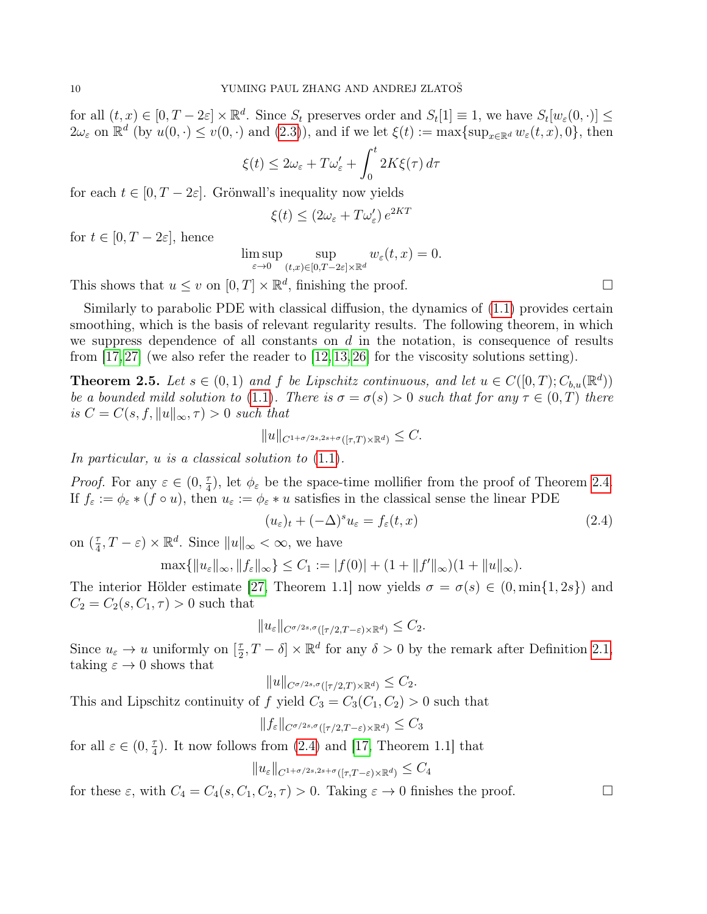for all  $(t, x) \in [0, T - 2\varepsilon] \times \mathbb{R}^d$ . Since  $S_t$  preserves order and  $S_t[1] \equiv 1$ , we have  $S_t[w_\varepsilon(0, \cdot)] \leq$  $2\omega_{\varepsilon}$  on  $\mathbb{R}^d$  (by  $u(0, \cdot) \leq v(0, \cdot)$  and  $(2.3)$ ), and if we let  $\xi(t) := \max\{\sup_{x \in \mathbb{R}^d} w_{\varepsilon}(t, x), 0\}$ , then

$$
\xi(t) \le 2\omega_{\varepsilon} + T\omega_{\varepsilon}' + \int_0^t 2K\xi(\tau) d\tau
$$

for each  $t \in [0, T - 2\varepsilon]$ . Grönwall's inequality now yields

$$
\xi(t) \le (2\omega_{\varepsilon} + T\omega_{\varepsilon}') e^{2KT}
$$

for  $t \in [0, T - 2\varepsilon]$ , hence

$$
\limsup_{\varepsilon \to 0} \sup_{(t,x)\in [0,T-2\varepsilon]\times \mathbb{R}^d} w_{\varepsilon}(t,x) = 0.
$$

This shows that  $u \le v$  on  $[0, T] \times \mathbb{R}^d$ , finishing the proof.

Similarly to parabolic PDE with classical diffusion, the dynamics of [\(1.1\)](#page-0-0) provides certain smoothing, which is the basis of relevant regularity results. The following theorem, in which we suppress dependence of all constants on  $d$  in the notation, is consequence of results from  $[17, 27]$  $[17, 27]$  (we also refer the reader to  $[12, 13, 26]$  $[12, 13, 26]$  $[12, 13, 26]$  for the viscosity solutions setting).

<span id="page-9-0"></span>**Theorem 2.5.** Let  $s \in (0,1)$  and f be Lipschitz continuous, and let  $u \in C([0,T); C_{b,u}(\mathbb{R}^d))$ be a bounded mild solution to [\(1.1\)](#page-0-0). There is  $\sigma = \sigma(s) > 0$  such that for any  $\tau \in (0, T)$  there is  $C = C(s, f, ||u||_{\infty}, \tau) > 0$  such that

$$
||u||_{C^{1+\sigma/2s,2s+\sigma}([\tau,T)\times\mathbb{R}^d)} \leq C.
$$

In particular,  $u$  is a classical solution to  $(1.1)$ .

*Proof.* For any  $\varepsilon \in (0, \frac{\tau}{4})$  $\frac{\tau}{4}$ , let  $\phi_{\varepsilon}$  be the space-time mollifier from the proof of Theorem [2.4.](#page-7-0) If  $f_{\varepsilon} := \phi_{\varepsilon} * (f \circ u)$ , then  $u_{\varepsilon} := \phi_{\varepsilon} * u$  satisfies in the classical sense the linear PDE

<span id="page-9-1"></span>
$$
(u_{\varepsilon})_t + (-\Delta)^s u_{\varepsilon} = f_{\varepsilon}(t, x)
$$
\n(2.4)

on  $(\frac{\tau}{4})$  $\frac{\tau}{4}, T - \varepsilon \rangle \times \mathbb{R}^d$ . Since  $||u||_{\infty} < \infty$ , we have

$$
\max\{\|u_{\varepsilon}\|_{\infty},\|f_{\varepsilon}\|_{\infty}\}\leq C_{1}:=|f(0)|+(1+\|f^{\prime}\|_{\infty})(1+\|u\|_{\infty}).
$$

The interior Hölder estimate [\[27,](#page-27-5) Theorem 1.1] now yields  $\sigma = \sigma(s) \in (0, \min\{1, 2s\})$  and  $C_2 = C_2(s, C_1, \tau) > 0$  such that

$$
||u_{\varepsilon}||_{C^{\sigma/2s,\sigma}([\tau/2,T-\varepsilon)\times\mathbb{R}^d)} \leq C_2.
$$

Since  $u_{\varepsilon} \to u$  uniformly on  $\left[\frac{\tau}{2}\right]$  $\frac{\tau}{2}$ ,  $T - \delta$  ×  $\mathbb{R}^d$  for any  $\delta > 0$  by the remark after Definition [2.1,](#page-6-1) taking  $\varepsilon \to 0$  shows that

$$
||u||_{C^{\sigma/2s,\sigma}([\tau/2,T)\times\mathbb{R}^d)} \leq C_2.
$$

This and Lipschitz continuity of f yield  $C_3 = C_3(C_1, C_2) > 0$  such that

$$
||f_{\varepsilon}||_{C^{\sigma/2s,\sigma}([\tau/2,T-\varepsilon)\times\mathbb{R}^d)} \leq C_3
$$

for all  $\varepsilon \in (0, \frac{\pi}{4})$  $\frac{\tau}{4}$ ). It now follows from [\(2.4\)](#page-9-1) and [\[17,](#page-26-18) Theorem 1.1] that  $||u_{\varepsilon}||_{C^{1+\sigma/2s,2s+\sigma}([T,T-\varepsilon)\times\mathbb{R}^d)} \leq C_4$ 

for these  $\varepsilon$ , with  $C_4 = C_4(s, C_1, C_2, \tau) > 0$ . Taking  $\varepsilon \to 0$  finishes the proof.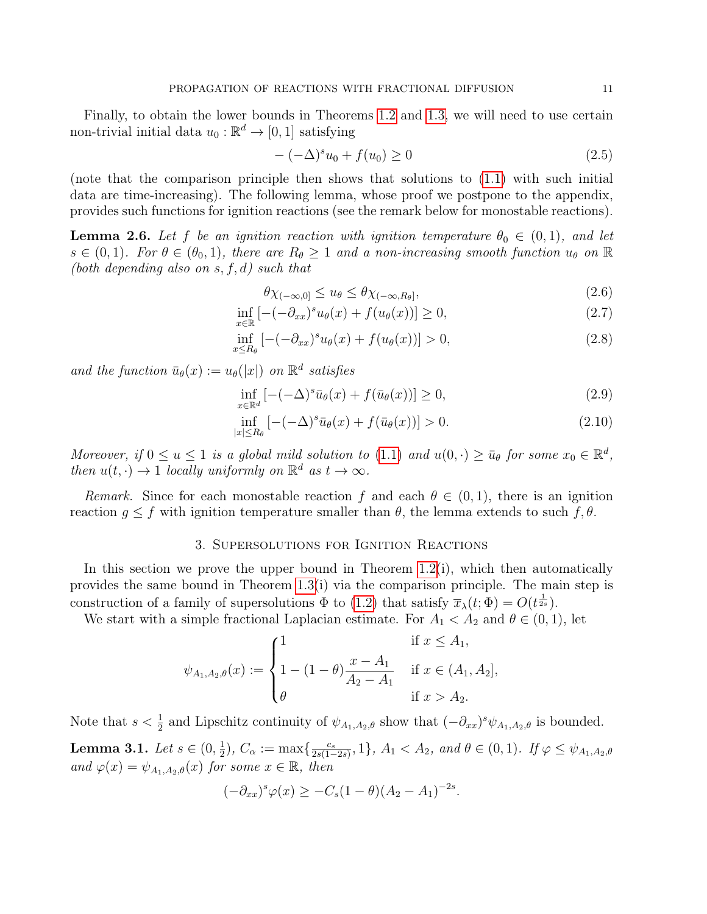Finally, to obtain the lower bounds in Theorems [1.2](#page-3-1) and [1.3,](#page-4-0) we will need to use certain non-trivial initial data  $u_0 : \mathbb{R}^d \to [0, 1]$  satisfying

<span id="page-10-8"></span>
$$
-(-\Delta)^{s}u_0 + f(u_0) \ge 0
$$
\n(2.5)

(note that the comparison principle then shows that solutions to [\(1.1\)](#page-0-0) with such initial data are time-increasing). The following lemma, whose proof we postpone to the appendix, provides such functions for ignition reactions (see the remark below for monostable reactions).

<span id="page-10-0"></span>**Lemma 2.6.** Let f be an ignition reaction with ignition temperature  $\theta_0 \in (0,1)$ , and let  $s \in (0,1)$ . For  $\theta \in (\theta_0,1)$ , there are  $R_{\theta} \geq 1$  and a non-increasing smooth function  $u_{\theta}$  on  $\mathbb R$ (both depending also on  $s, f, d$ ) such that

<span id="page-10-7"></span><span id="page-10-6"></span><span id="page-10-5"></span><span id="page-10-4"></span><span id="page-10-3"></span>
$$
\theta \chi_{(-\infty,0]} \le u_{\theta} \le \theta \chi_{(-\infty,R_{\theta}]},\tag{2.6}
$$

$$
\inf_{x \in \mathbb{R}} \left[ -(-\partial_{xx})^s u_\theta(x) + f(u_\theta(x)) \right] \ge 0,
$$
\n(2.7)

$$
\inf_{x \le R_{\theta}} \left[ -(-\partial_{xx})^s u_{\theta}(x) + f(u_{\theta}(x)) \right] > 0, \tag{2.8}
$$

and the function  $\bar{u}_{\theta}(x) := u_{\theta}(|x|)$  on  $\mathbb{R}^d$  satisfies

$$
\inf_{x \in \mathbb{R}^d} \left[ -(-\Delta)^s \bar{u}_\theta(x) + f(\bar{u}_\theta(x)) \right] \ge 0,\tag{2.9}
$$

$$
\inf_{|x| \le R_{\theta}} \left[ -(-\Delta)^{s} \bar{u}_{\theta}(x) + f(\bar{u}_{\theta}(x)) \right] > 0. \tag{2.10}
$$

Moreover, if  $0 \le u \le 1$  is a global mild solution to  $(1.1)$  and  $u(0, \cdot) \ge \bar{u}_{\theta}$  for some  $x_0 \in \mathbb{R}^d$ , then  $u(t, \cdot) \to 1$  locally uniformly on  $\mathbb{R}^d$  as  $t \to \infty$ .

Remark. Since for each monostable reaction f and each  $\theta \in (0,1)$ , there is an ignition reaction  $g \leq f$  with ignition temperature smaller than  $\theta$ , the lemma extends to such  $f, \theta$ .

### 3. Supersolutions for Ignition Reactions

<span id="page-10-1"></span>In this section we prove the upper bound in Theorem  $1.2(i)$ , which then automatically provides the same bound in Theorem  $1.3(i)$  via the comparison principle. The main step is construction of a family of supersolutions  $\Phi$  to [\(1.2\)](#page-0-1) that satisfy  $\overline{x}_{\lambda}(t; \Phi) = O(t^{\frac{1}{2s}})$ .

We start with a simple fractional Laplacian estimate. For  $A_1 < A_2$  and  $\theta \in (0,1)$ , let

$$
\psi_{A_1, A_2, \theta}(x) := \begin{cases} 1 & \text{if } x \le A_1, \\ 1 - (1 - \theta) \frac{x - A_1}{A_2 - A_1} & \text{if } x \in (A_1, A_2], \\ \theta & \text{if } x > A_2. \end{cases}
$$

<span id="page-10-2"></span>Note that  $s < \frac{1}{2}$  and Lipschitz continuity of  $\psi_{A_1,A_2,\theta}$  show that  $(-\partial_{xx})^s \psi_{A_1,A_2,\theta}$  is bounded. **Lemma 3.1.** Let  $s \in (0, \frac{1}{2})$  $(\frac{1}{2})$ ,  $C_{\alpha} := \max\{\frac{c_s}{2s(1-\alpha)}\}$  $\frac{c_s}{2s(1-2s)}$ , 1},  $A_1 < A_2$ , and  $\theta \in (0,1)$ . If  $\varphi \leq \psi_{A_1,A_2,\theta}$ and  $\varphi(x) = \psi_{A_1,A_2,\theta}(x)$  for some  $x \in \mathbb{R}$ , then

$$
(-\partial_{xx})^s \varphi(x) \geq -C_s(1-\theta)(A_2 - A_1)^{-2s}.
$$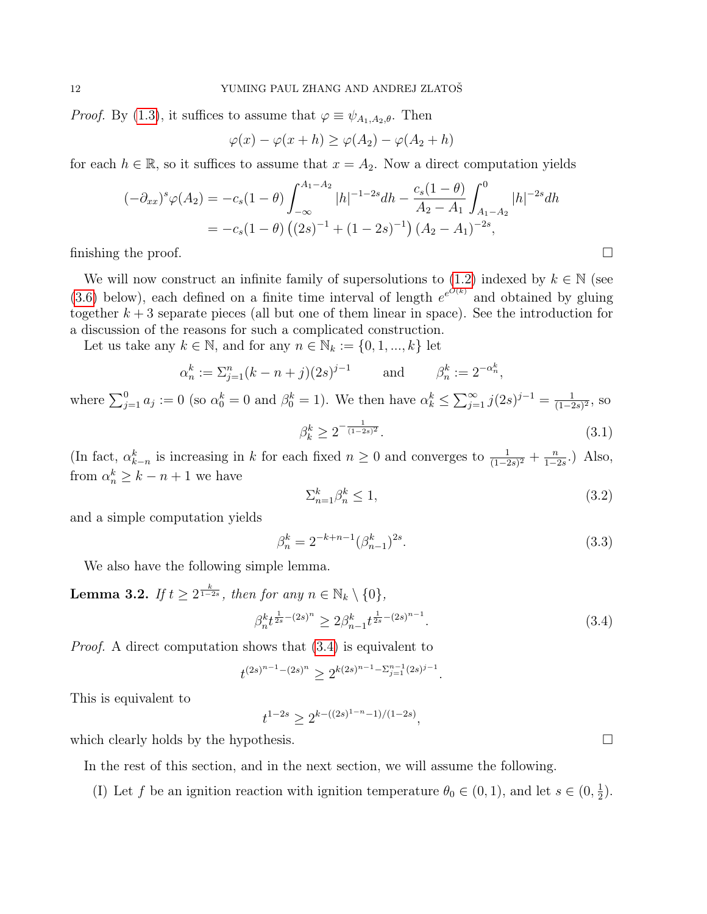*Proof.* By [\(1.3\)](#page-0-2), it suffices to assume that  $\varphi \equiv \psi_{A_1,A_2,\theta}$ . Then

$$
\varphi(x) - \varphi(x+h) \ge \varphi(A_2) - \varphi(A_2 + h)
$$

for each  $h \in \mathbb{R}$ , so it suffices to assume that  $x = A_2$ . Now a direct computation yields

$$
(-\partial_{xx})^s \varphi(A_2) = -c_s(1-\theta) \int_{-\infty}^{A_1-A_2} |h|^{-1-2s} dh - \frac{c_s(1-\theta)}{A_2-A_1} \int_{A_1-A_2}^0 |h|^{-2s} dh
$$
  
=  $-c_s(1-\theta) ((2s)^{-1} + (1-2s)^{-1}) (A_2-A_1)^{-2s}$ ,  
finishing the proof.

We will now construct an infinite family of supersolutions to [\(1.2\)](#page-0-1) indexed by  $k \in \mathbb{N}$  (see [\(3.6\)](#page-12-0) below), each defined on a finite time interval of length  $e^{e^{O(k)}}$  and obtained by gluing together  $k + 3$  separate pieces (all but one of them linear in space). See the introduction for a discussion of the reasons for such a complicated construction.

Let us take any  $k \in \mathbb{N}$ , and for any  $n \in \mathbb{N}_k := \{0, 1, ..., k\}$  let

$$
\alpha_n^k := \sum_{j=1}^n (k - n + j)(2s)^{j-1}
$$
 and  $\beta_n^k := 2^{-\alpha_n^k}$ ,

where  $\sum_{j=1}^{0} a_j := 0$  (so  $\alpha_0^k = 0$  and  $\beta_0^k = 1$ ). We then have  $\alpha_k^k \leq \sum_{j=1}^{\infty} j(2s)^{j-1} = \frac{1}{(1-2s)^{j-1}}$  $\frac{1}{(1-2s)^2}$ , so  $\beta_k^k \geq 2^{-\frac{1}{(1-2s)^2}}$ .  $(3.1)$ 

(In fact,  $\alpha_{k-n}^k$  is increasing in k for each fixed  $n \geq 0$  and converges to  $\frac{1}{(1-2s)^2} + \frac{n}{1-2s}$  $\frac{n}{1-2s}$ .) Also, from  $\alpha_n^k \geq k - n + 1$  we have

<span id="page-11-4"></span><span id="page-11-2"></span>
$$
\sum_{n=1}^{k} \beta_n^k \le 1,\tag{3.2}
$$

and a simple computation yields

<span id="page-11-3"></span>
$$
\beta_n^k = 2^{-k+n-1} (\beta_{n-1}^k)^{2s}.
$$
\n(3.3)

We also have the following simple lemma.

<span id="page-11-1"></span>**Lemma 3.2.** If 
$$
t \ge 2^{\frac{k}{1-2s}}
$$
, then for any  $n \in \mathbb{N}_k \setminus \{0\}$ ,  

$$
\beta_n^k t^{\frac{1}{2s} - (2s)^n} \ge 2\beta_{n-1}^k t^{\frac{1}{2s} - (2s)^{n-1}}.
$$
 (3.4)

Proof. A direct computation shows that [\(3.4\)](#page-11-0) is equivalent to

<span id="page-11-0"></span>
$$
t^{(2s)^{n-1}-(2s)^n}\geq 2^{k(2s)^{n-1}-\sum_{j=1}^{n-1}(2s)^{j-1}}.
$$

This is equivalent to

 $t^{1-2s} \geq 2^{k-((2s)^{1-n}-1)/(1-2s)},$ 

which clearly holds by the hypothesis.  $\Box$ 

In the rest of this section, and in the next section, we will assume the following.

(I) Let f be an ignition reaction with ignition temperature  $\theta_0 \in (0,1)$ , and let  $s \in (0, \frac{1}{2})$  $(\frac{1}{2})$ .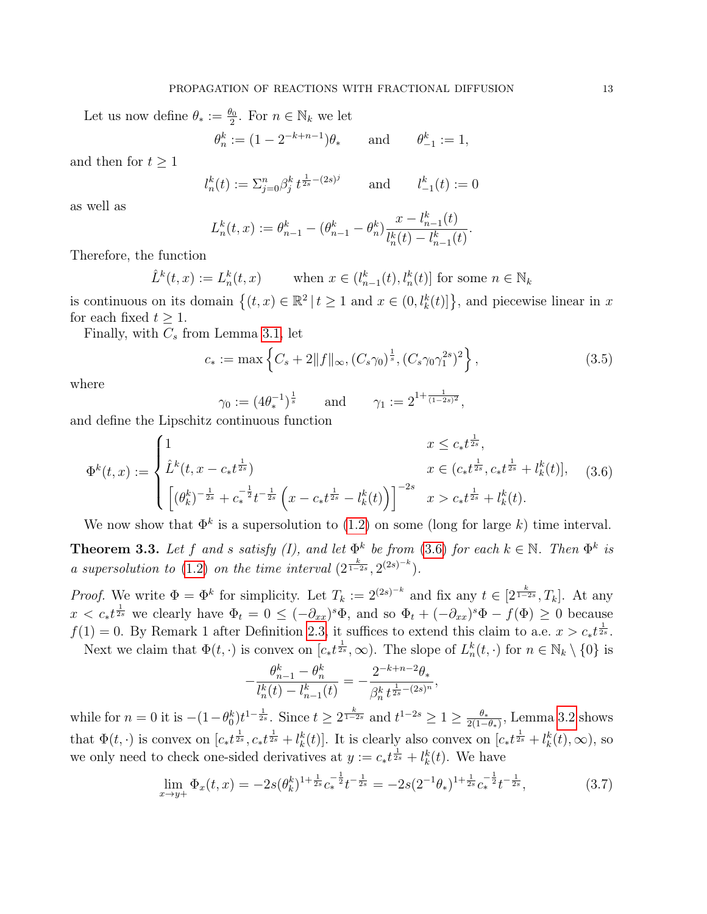Let us now define  $\theta_* := \frac{\theta_0}{2}$ . For  $n \in \mathbb{N}_k$  we let

$$
\theta_n^k := (1 - 2^{-k+n-1})\theta_*
$$
 and  $\theta_{-1}^k := 1$ ,

and then for  $t \geq 1$ 

$$
l_n^k(t) := \sum_{j=0}^n \beta_j^k t^{\frac{1}{2s} - (2s)^j} \qquad \text{and} \qquad l_{-1}^k(t) := 0
$$

as well as

$$
L_n^k(t, x) := \theta_{n-1}^k - (\theta_{n-1}^k - \theta_n^k) \frac{x - l_{n-1}^k(t)}{l_n^k(t) - l_{n-1}^k(t)}.
$$

Therefore, the function

$$
\hat{L}^k(t, x) := L_n^k(t, x) \qquad \text{when } x \in (l_{n-1}^k(t), l_n^k(t)] \text{ for some } n \in \mathbb{N}_k
$$

is continuous on its domain  $\{(t, x) \in \mathbb{R}^2 \mid t \ge 1 \text{ and } x \in (0, l^k_k(t)]\}$ , and piecewise linear in x for each fixed  $t \geq 1$ .

Finally, with  $C_s$  from Lemma [3.1,](#page-10-2) let

<span id="page-12-2"></span>
$$
c_* := \max\left\{C_s + 2\|f\|_{\infty}, (C_s\gamma_0)^{\frac{1}{s}}, (C_s\gamma_0\gamma_1^{2s})^2\right\},\tag{3.5}
$$

where

$$
\gamma_0 := (4\theta_*^{-1})^{\frac{1}{s}} \quad \text{and} \quad \gamma_1 := 2^{1 + \frac{1}{(1-2s)^2}},
$$

and define the Lipschitz continuous function

−

<span id="page-12-0"></span>
$$
\Phi^{k}(t,x) := \begin{cases} 1 & x \leq c_{*}t^{\frac{1}{2s}}, \\ \hat{L}^{k}(t,x - c_{*}t^{\frac{1}{2s}}) & x \in (c_{*}t^{\frac{1}{2s}}, c_{*}t^{\frac{1}{2s}} + l_{k}^{k}(t)], \\ \left[ (\theta_{k}^{k})^{-\frac{1}{2s}} + c_{*}^{-\frac{1}{2}}t^{-\frac{1}{2s}} \left( x - c_{*}t^{\frac{1}{2s}} - l_{k}^{k}(t) \right) \right]^{-2s} & x > c_{*}t^{\frac{1}{2s}} + l_{k}^{k}(t). \end{cases}
$$
(3.6)

We now show that  $\Phi^k$  is a supersolution to [\(1.2\)](#page-0-1) on some (long for large k) time interval.

**Theorem 3.3.** Let f and s satisfy (I), and let  $\Phi^k$  be from [\(3.6\)](#page-12-0) for each  $k \in \mathbb{N}$ . Then  $\Phi^k$  is a supersolution to [\(1.2\)](#page-0-1) on the time interval  $(2^{\frac{k}{1-2s}}, 2^{(2s)^{-k}})$ .

*Proof.* We write  $\Phi = \Phi^k$  for simplicity. Let  $T_k := 2^{(2s)^{-k}}$  and fix any  $t \in [2^{\frac{k}{1-2s}}, T_k]$ . At any  $x < c_* t^{\frac{1}{2s}}$  we clearly have  $\Phi_t = 0 \leq (-\partial_{xx})^s \Phi$ , and so  $\Phi_t + (-\partial_{xx})^s \Phi - f(\Phi) \geq 0$  because  $f(1) = 0$ . By Remark 1 after Definition [2.3,](#page-7-1) it suffices to extend this claim to a.e.  $x > c_* t^{\frac{1}{2s}}$ .

Next we claim that  $\Phi(t, \cdot)$  is convex on  $[c_*t^{\frac{1}{2s}}, \infty)$ . The slope of  $L_n^k(t, \cdot)$  for  $n \in \mathbb{N}_k \setminus \{0\}$  is

$$
-\frac{\theta_{n-1}^k - \theta_n^k}{l_n^k(t) - l_{n-1}^k(t)} = -\frac{2^{-k+n-2}\theta_*}{\beta_n^k t^{\frac{1}{2s} - (2s)^n}},
$$

while for  $n = 0$  it is  $-(1 - \theta_0^k)t^{1 - \frac{1}{2s}}$ . Since  $t \geq 2^{\frac{k}{1-2s}}$  and  $t^{1-2s} \geq 1 \geq \frac{\theta_*}{2(1-s)}$  $\frac{\theta_*}{2(1-\theta_*)}$ , Lemma [3.2](#page-11-1) shows that  $\Phi(t, \cdot)$  is convex on  $[c_*t^{\frac{1}{2s}}, c_*t^{\frac{1}{2s}} + l_k^k(t)]$ . It is clearly also convex on  $[c_*t^{\frac{1}{2s}} + l_k^k(t), \infty)$ , so we only need to check one-sided derivatives at  $y := c_* t^{\frac{1}{2s}} + l_k^k(t)$ . We have

<span id="page-12-1"></span>
$$
\lim_{x \to y+} \Phi_x(t, x) = -2s(\theta_k^k)^{1 + \frac{1}{2s}} c_*^{-\frac{1}{2}} t^{-\frac{1}{2s}} = -2s(2^{-1}\theta_*)^{1 + \frac{1}{2s}} c_*^{-\frac{1}{2}} t^{-\frac{1}{2s}},\tag{3.7}
$$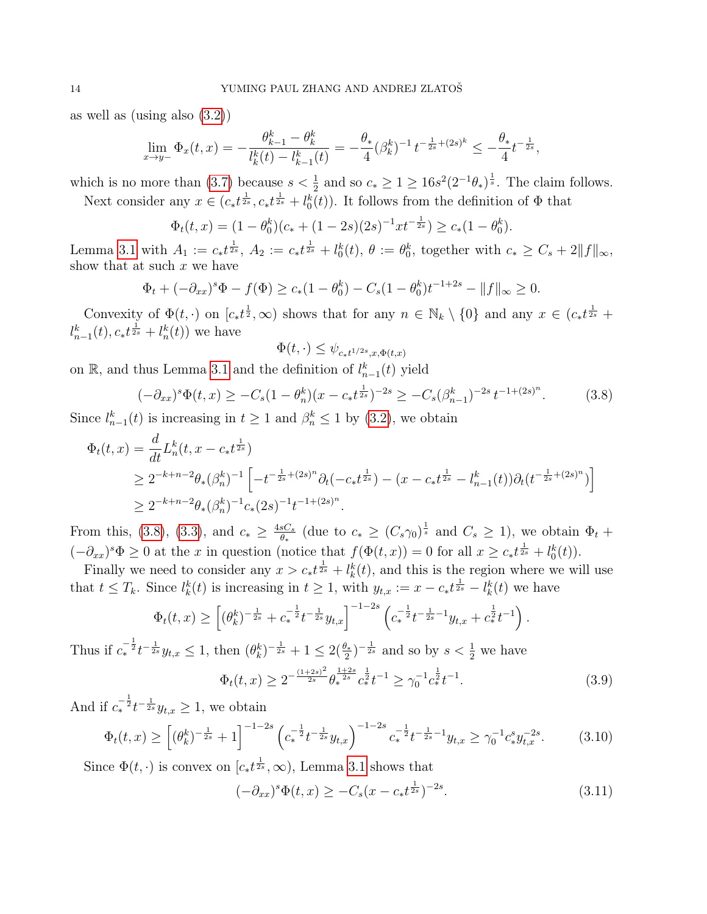as well as (using also [\(3.2\)](#page-11-2))

$$
\lim_{x \to y-} \Phi_x(t, x) = -\frac{\theta_{k-1}^k - \theta_k^k}{l_k^k(t) - l_{k-1}^k(t)} = -\frac{\theta_*}{4} (\beta_k^k)^{-1} t^{-\frac{1}{2s} + (2s)^k} \le -\frac{\theta_*}{4} t^{-\frac{1}{2s}},
$$

which is no more than [\(3.7\)](#page-12-1) because  $s < \frac{1}{2}$  and so  $c_* \geq 1 \geq 16s^2(2^{-1}\theta_*)^{\frac{1}{s}}$ . The claim follows.

Next consider any  $x \in (c_*t^{\frac{1}{2s}}, c_*t^{\frac{1}{2s}} + l_0^k(t))$ . It follows from the definition of  $\Phi$  that

$$
\Phi_t(t,x) = (1 - \theta_0^k)(c_* + (1 - 2s)(2s)^{-1}xt^{-\frac{1}{2s}}) \ge c_*(1 - \theta_0^k).
$$

Lemma [3.1](#page-10-2) with  $A_1 := c_* t^{\frac{1}{2s}}$ ,  $A_2 := c_* t^{\frac{1}{2s}} + l_0^k(t)$ ,  $\theta := \theta_0^k$ , together with  $c_* \geq C_s + 2||f||_{\infty}$ , show that at such  $x$  we have

$$
\Phi_t + (-\partial_{xx})^s \Phi - f(\Phi) \ge c_*(1 - \theta_0^k) - C_s (1 - \theta_0^k) t^{-1+2s} - ||f||_{\infty} \ge 0.
$$

Convexity of  $\Phi(t, \cdot)$  on  $[c_*t^{\frac{1}{2}}, \infty)$  shows that for any  $n \in \mathbb{N}_k \setminus \{0\}$  and any  $x \in (c_*t^{\frac{1}{2s}} +$  $l_{n-1}^{k}(t), c_* t^{\frac{1}{2s}} + l_n^{k}(t)$  we have

$$
\Phi(t,\cdot) \leq \psi_{c_*t^{1/2s},x,\Phi(t,x)}
$$

on R, and thus Lemma [3.1](#page-10-2) and the definition of  $l_{n-1}^k(t)$  yield

<span id="page-13-0"></span>
$$
(-\partial_{xx})^s \Phi(t,x) \ge -C_s (1-\theta_n^k)(x-c_*t^{\frac{1}{2s}})^{-2s} \ge -C_s (\beta_{n-1}^k)^{-2s} t^{-1+(2s)^n}.
$$
 (3.8)

Since  $l_{n-1}^k(t)$  is increasing in  $t \geq 1$  and  $\beta_n^k \leq 1$  by [\(3.2\)](#page-11-2), we obtain

$$
\Phi_t(t,x) = \frac{d}{dt} L_n^k(t, x - c_* t^{\frac{1}{2s}})
$$
\n
$$
\geq 2^{-k+n-2} \theta_* (\beta_n^k)^{-1} \left[ -t^{-\frac{1}{2s} + (2s)^n} \partial_t(-c_* t^{\frac{1}{2s}}) - (x - c_* t^{\frac{1}{2s}} - l_{n-1}^k(t)) \partial_t(t^{-\frac{1}{2s} + (2s)^n}) \right]
$$
\n
$$
\geq 2^{-k+n-2} \theta_* (\beta_n^k)^{-1} c_* (2s)^{-1} t^{-1 + (2s)^n}.
$$

From this, [\(3.8\)](#page-13-0), [\(3.3\)](#page-11-3), and  $c_* \geq \frac{4sC_s}{\theta_*}$  $\frac{sC_s}{\theta_*}$  (due to  $c_* \ge (C_s \gamma_0)^{\frac{1}{s}}$  and  $C_s \ge 1$ ), we obtain  $\Phi_t$  +  $(-\partial_{xx})^s \Phi \geq 0$  at the x in question (notice that  $f(\Phi(t,x)) = 0$  for all  $x \geq c_* t^{\frac{1}{2s}} + l_0^k(t)$ ).

Finally we need to consider any  $x > c_* t^{\frac{1}{2s}} + l_k^k(t)$ , and this is the region where we will use that  $t \leq T_k$ . Since  $l_k^k(t)$  is increasing in  $t \geq 1$ , with  $y_{t,x} := x - c_* t^{\frac{1}{2s}} - l_k^k(t)$  we have

$$
\Phi_t(t,x) \ge \left[ (\theta_k^k)^{-\frac{1}{2s}} + c_*^{-\frac{1}{2}} t^{-\frac{1}{2s}} y_{t,x} \right]^{-1-2s} \left( c_*^{-\frac{1}{2}} t^{-\frac{1}{2s}-1} y_{t,x} + c_*^{\frac{1}{2}} t^{-1} \right).
$$

Thus if  $c_*^{-\frac{1}{2}}t^{-\frac{1}{2s}}y_{t,x} \leq 1$ , then  $(\theta_k^k)^{-\frac{1}{2s}} + 1 \leq 2(\frac{\theta_*}{2})^{-\frac{1}{2s}}$  and so by  $s < \frac{1}{2}$  we have

<span id="page-13-3"></span>
$$
\Phi_t(t,x) \ge 2^{-\frac{(1+2s)^2}{2s}} \theta_*^{\frac{1+2s}{2s}} c_*^{\frac{1}{2}} t^{-1} \ge \gamma_0^{-1} c_*^{\frac{1}{2}} t^{-1}.
$$
\n(3.9)

And if  $c_*^{-\frac{1}{2}} t^{-\frac{1}{2s}} y_{t,x} \geq 1$ , we obtain

<span id="page-13-1"></span>
$$
\Phi_t(t,x) \ge \left[ (\theta_k^k)^{-\frac{1}{2s}} + 1 \right]^{-1-2s} \left( c_*^{-\frac{1}{2}} t^{-\frac{1}{2s}} y_{t,x} \right)^{-1-2s} c_*^{-\frac{1}{2}} t^{-\frac{1}{2s}-1} y_{t,x} \ge \gamma_0^{-1} c_*^s y_{t,x}^{-2s}.
$$
 (3.10)

Since  $\Phi(t, \cdot)$  is convex on  $[c_*t^{\frac{1}{2s}}, \infty)$ , Lemma [3.1](#page-10-2) shows that

<span id="page-13-2"></span>
$$
(-\partial_{xx})^s \Phi(t, x) \ge -C_s (x - c_* t^{\frac{1}{2s}})^{-2s}.
$$
\n(3.11)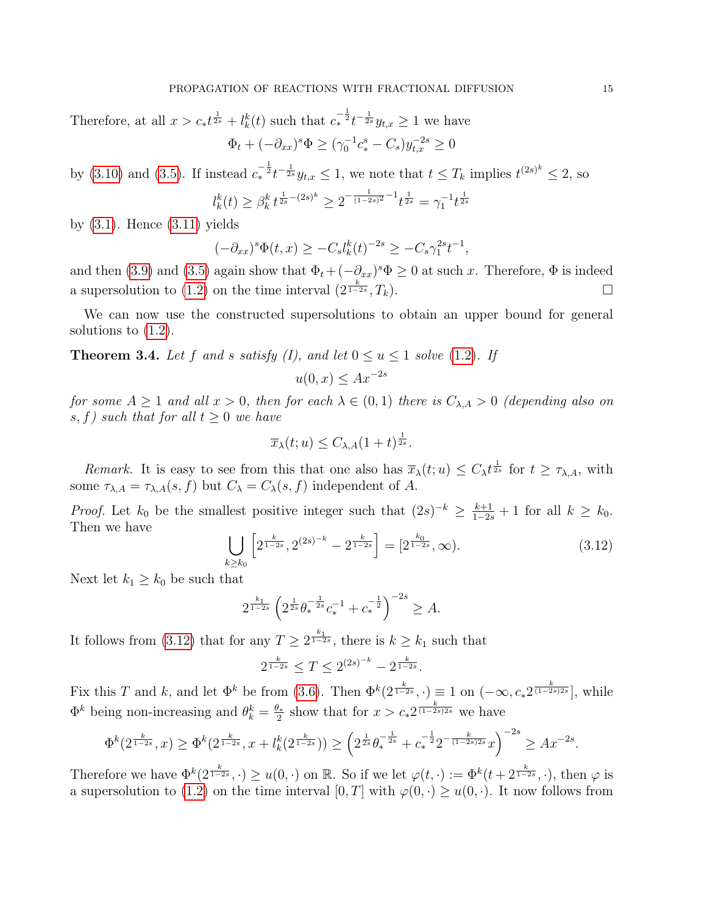Therefore, at all  $x > c_* t^{\frac{1}{2s}} + l_k^k(t)$  such that  $c_*^{-\frac{1}{2}} t^{-\frac{1}{2s}} y_{t,x} \geq 1$  we have  $\Phi_t + (-\partial_{xx})^s \Phi \ge (\gamma_0^{-1} c_*^s - C_s) y_{t,x}^{-2s} \ge 0$ 

by (3.10) and (3.5). If instead 
$$
c_*^{-\frac{1}{2}}t^{-\frac{1}{2s}}y_{t,x} \leq 1
$$
, we note that  $t \leq T_k$  implies  $t^{(2s)^k} \leq 2$ , so

$$
l_k^k(t) \geq \beta_k^k \, t^{\frac{1}{2s} - (2s)^k} \geq 2^{-\frac{1}{(1-2s)^2} - 1} t^{\frac{1}{2s}} = \gamma_1^{-1} t^{\frac{1}{2s}}
$$

by  $(3.1)$ . Hence  $(3.11)$  yields

$$
(-\partial_{xx})^s \Phi(t,x) \ge -C_s l_k^k(t)^{-2s} \ge -C_s \gamma_1^{2s} t^{-1},
$$

and then [\(3.9\)](#page-13-3) and [\(3.5\)](#page-12-2) again show that  $\Phi_t + (-\partial_{xx})^s \Phi \geq 0$  at such x. Therefore,  $\Phi$  is indeed a supersolution to [\(1.2\)](#page-0-1) on the time interval  $(2^{\frac{k}{1-2s}}, T_k)$ .

We can now use the constructed supersolutions to obtain an upper bound for general solutions to [\(1.2\)](#page-0-1).

<span id="page-14-0"></span>**Theorem 3.4.** Let f and s satisfy (I), and let  $0 \le u \le 1$  solve [\(1.2\)](#page-0-1). If

$$
u(0, x) \le Ax^{-2s}
$$

for some  $A \ge 1$  and all  $x > 0$ , then for each  $\lambda \in (0,1)$  there is  $C_{\lambda,A} > 0$  (depending also on s, f) such that for all  $t \geq 0$  we have

$$
\overline{x}_{\lambda}(t;u) \leq C_{\lambda,A}(1+t)^{\frac{1}{2s}}.
$$

Remark. It is easy to see from this that one also has  $\overline{x}_{\lambda}(t; u) \leq C_{\lambda} t^{\frac{1}{2s}}$  for  $t \geq \tau_{\lambda, A}$ , with some  $\tau_{\lambda,A} = \tau_{\lambda,A}(s,f)$  but  $C_{\lambda} = C_{\lambda}(s,f)$  independent of A.

*Proof.* Let  $k_0$  be the smallest positive integer such that  $(2s)^{-k} \geq \frac{k+1}{1-2s} + 1$  for all  $k \geq k_0$ . Then we have

<span id="page-14-1"></span>
$$
\bigcup_{k \ge k_0} \left[ 2^{\frac{k}{1-2s}}, 2^{(2s)^{-k}} - 2^{\frac{k}{1-2s}} \right] = \left[ 2^{\frac{k_0}{1-2s}}, \infty \right). \tag{3.12}
$$

Next let  $k_1 \geq k_0$  be such that

$$
2^{\frac{k_1}{1-2s}} \left( 2^{\frac{1}{2s}} \theta_*^{-\frac{1}{2s}} c_*^{-1} + c_*^{-\frac{1}{2}} \right)^{-2s} \geq A.
$$

It follows from [\(3.12\)](#page-14-1) that for any  $T \geq 2^{\frac{k_1}{1-2s}}$ , there is  $k \geq k_1$  such that

$$
2^{\frac{k}{1-2s}} \le T \le 2^{(2s)^{-k}} - 2^{\frac{k}{1-2s}}.
$$

Fix this T and k, and let  $\Phi^k$  be from [\(3.6\)](#page-12-0). Then  $\Phi^k(2^{\frac{k}{1-2s}},\cdot) \equiv 1$  on  $(-\infty, c_* 2^{\frac{k}{(1-2s)2s}}]$ , while  $\Phi^k$  being non-increasing and  $\theta_k^k = \frac{\theta_*}{2}$  $\frac{\partial_x}{\partial x}$  show that for  $x > c_* 2^{\frac{k}{(1-2s)2s}}$  we have

$$
\Phi^k(2^{\frac{k}{1-2s}},x) \ge \Phi^k(2^{\frac{k}{1-2s}},x+l_k^k(2^{\frac{k}{1-2s}})) \ge \left(2^{\frac{1}{2s}}\theta_*^{-\frac{1}{2s}} + c_*^{-\frac{1}{2}}2^{-\frac{k}{(1-2s)2s}}x\right)^{-2s} \ge Ax^{-2s}.
$$

Therefore we have  $\Phi^k(2^{\frac{k}{1-2s}},\cdot) \geq u(0,\cdot)$  on R. So if we let  $\varphi(t,\cdot) := \Phi^k(t+2^{\frac{k}{1-2s}},\cdot)$ , then  $\varphi$  is a supersolution to [\(1.2\)](#page-0-1) on the time interval  $[0, T]$  with  $\varphi(0, \cdot) \geq u(0, \cdot)$ . It now follows from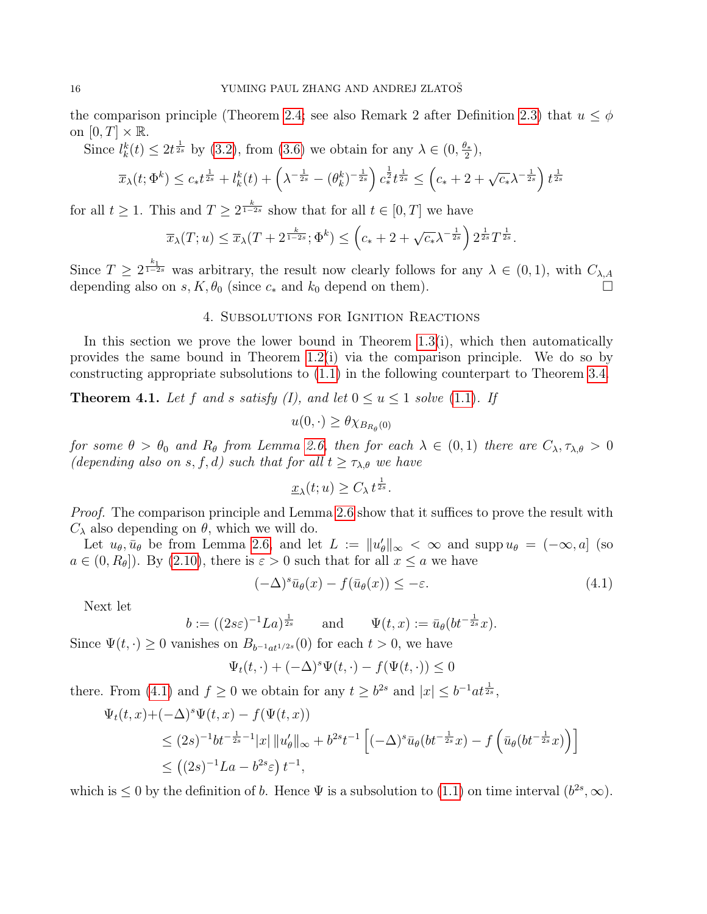the comparison principle (Theorem [2.4;](#page-7-0) see also Remark 2 after Definition [2.3\)](#page-7-1) that  $u \leq \phi$ on  $[0, T] \times \mathbb{R}$ .

Since  $l_k^k(t) \leq 2t^{\frac{1}{2s}}$  by [\(3.2\)](#page-11-2), from [\(3.6\)](#page-12-0) we obtain for any  $\lambda \in (0, \frac{\theta_*}{2})$  $\frac{1}{2}$ ,

$$
\overline{x}_{\lambda}(t; \Phi^k) \leq c_* t^{\frac{1}{2s}} + l_k^k(t) + \left(\lambda^{-\frac{1}{2s}} - (\theta_k^k)^{-\frac{1}{2s}}\right) c_*^{\frac{1}{2}} t^{\frac{1}{2s}} \leq \left(c_* + 2 + \sqrt{c_*} \lambda^{-\frac{1}{2s}}\right) t^{\frac{1}{2s}}
$$

for all  $t \geq 1$ . This and  $T \geq 2^{\frac{k}{1-2s}}$  show that for all  $t \in [0, T]$  we have

$$
\overline{x}_{\lambda}(T; u) \leq \overline{x}_{\lambda}(T + 2^{\frac{k}{1-2s}}; \Phi^k) \leq \left(c_* + 2 + \sqrt{c_*} \lambda^{-\frac{1}{2s}}\right) 2^{\frac{1}{2s}} T^{\frac{1}{2s}}.
$$

Since  $T \geq 2^{\frac{k_1}{1-2s}}$  was arbitrary, the result now clearly follows for any  $\lambda \in (0,1)$ , with  $C_{\lambda,A}$ depending also on s,  $K, \theta_0$  (since  $c_*$  and  $k_0$  depend on them).

## 4. Subsolutions for Ignition Reactions

<span id="page-15-0"></span>In this section we prove the lower bound in Theorem  $1.3(i)$ , which then automatically provides the same bound in Theorem [1.2\(](#page-3-1)i) via the comparison principle. We do so by constructing appropriate subsolutions to [\(1.1\)](#page-0-0) in the following counterpart to Theorem [3.4.](#page-14-0)

<span id="page-15-2"></span>**Theorem 4.1.** Let f and s satisfy (I), and let  $0 \le u \le 1$  solve [\(1.1\)](#page-0-0). If

$$
u(0,\cdot) \geq \theta \chi_{B_{R_{\theta}}(0)}
$$

for some  $\theta > \theta_0$  and  $R_\theta$  from Lemma [2.6,](#page-10-0) then for each  $\lambda \in (0,1)$  there are  $C_\lambda, \tau_{\lambda,\theta} > 0$ (depending also on s, f, d) such that for all  $t \geq \tau_{\lambda,\theta}$  we have

$$
\underline{x}_{\lambda}(t;u) \geq C_{\lambda} t^{\frac{1}{2s}}.
$$

Proof. The comparison principle and Lemma [2.6](#page-10-0) show that it suffices to prove the result with  $C_{\lambda}$  also depending on  $\theta$ , which we will do.

Let  $u_{\theta}, \bar{u}_{\theta}$  be from Lemma [2.6,](#page-10-0) and let  $L := ||u'_{\theta}||_{\infty} < \infty$  and supp  $u_{\theta} = (-\infty, a]$  (so  $a \in (0, R_{\theta})$ . By [\(2.10\)](#page-10-3), there is  $\varepsilon > 0$  such that for all  $x \le a$  we have

<span id="page-15-1"></span>
$$
(-\Delta)^{s} \bar{u}_{\theta}(x) - f(\bar{u}_{\theta}(x)) \leq -\varepsilon. \tag{4.1}
$$

Next let

$$
b := ((2s\varepsilon)^{-1}La)^{\frac{1}{2s}} \quad \text{and} \quad \Psi(t, x) := \bar{u}_{\theta}(bt^{-\frac{1}{2s}}x).
$$

Since  $\Psi(t, \cdot) \geq 0$  vanishes on  $B_{b^{-1}at^{1/2s}}(0)$  for each  $t > 0$ , we have

$$
\Psi_t(t,\cdot)+(-\Delta)^s\Psi(t,\cdot)-f(\Psi(t,\cdot))\leq 0
$$

there. From [\(4.1\)](#page-15-1) and  $f \ge 0$  we obtain for any  $t \ge b^{2s}$  and  $|x| \le b^{-1}at^{\frac{1}{2s}},$ 

$$
\Psi_t(t, x) + (-\Delta)^s \Psi(t, x) - f(\Psi(t, x))
$$
\n
$$
\leq (2s)^{-1} b t^{-\frac{1}{2s} - 1} |x| \|u'_{\theta}\|_{\infty} + b^{2s} t^{-1} \left[ (-\Delta)^s \bar{u}_{\theta} (bt^{-\frac{1}{2s}} x) - f\left(\bar{u}_{\theta} (bt^{-\frac{1}{2s}} x)\right) \right]
$$
\n
$$
\leq \left( (2s)^{-1} L a - b^{2s} \varepsilon \right) t^{-1},
$$

which is  $\leq 0$  by the definition of b. Hence  $\Psi$  is a subsolution to [\(1.1\)](#page-0-0) on time interval  $(b^{2s}, \infty)$ .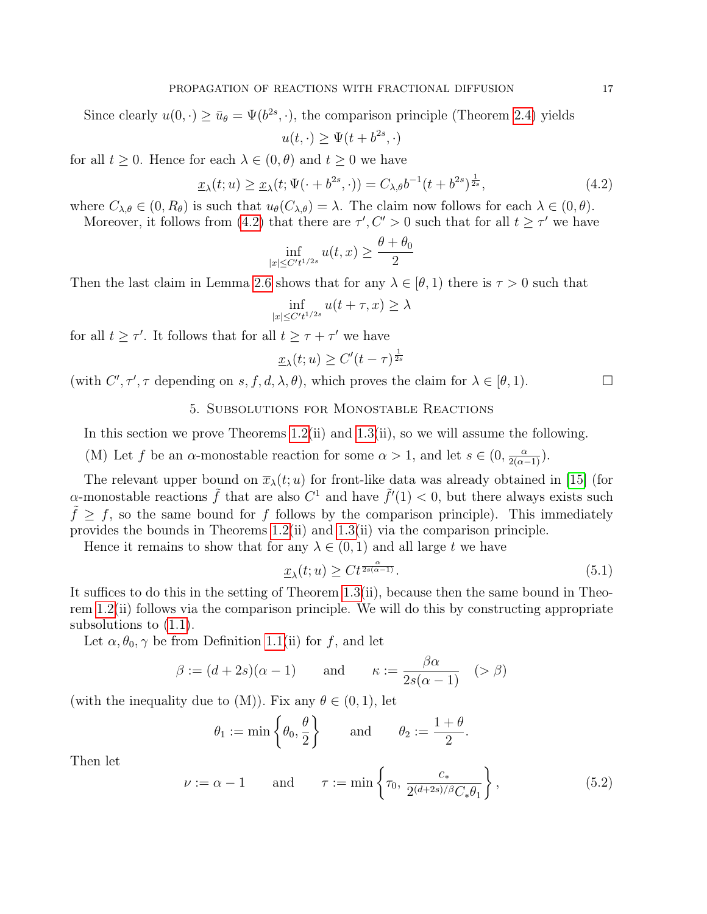Since clearly  $u(0, \cdot) \ge \bar{u}_{\theta} = \Psi(b^{2s}, \cdot)$ , the comparison principle (Theorem [2.4\)](#page-7-0) yields  $u(t, \cdot) \geq \Psi(t + b^{2s}, \cdot)$ 

for all  $t \geq 0$ . Hence for each  $\lambda \in (0, \theta)$  and  $t \geq 0$  we have

<span id="page-16-1"></span>
$$
\underline{x}_{\lambda}(t; u) \ge \underline{x}_{\lambda}(t; \Psi(\cdot + b^{2s}, \cdot)) = C_{\lambda, \theta} b^{-1} (t + b^{2s})^{\frac{1}{2s}}, \tag{4.2}
$$

where  $C_{\lambda,\theta} \in (0, R_{\theta})$  is such that  $u_{\theta}(C_{\lambda,\theta}) = \lambda$ . The claim now follows for each  $\lambda \in (0, \theta)$ . Moreover, it follows from [\(4.2\)](#page-16-1) that there are  $\tau', C' > 0$  such that for all  $t \geq \tau'$  we have

$$
\inf_{|x|\leq C't^{1/2s}}u(t,x)\geq \frac{\theta+\theta_0}{2}
$$

Then the last claim in Lemma [2.6](#page-10-0) shows that for any  $\lambda \in [\theta, 1]$  there is  $\tau > 0$  such that

$$
\inf_{|x| \le C't^{1/2s}} u(t+\tau, x) \ge \lambda
$$

for all  $t \geq \tau'$ . It follows that for all  $t \geq \tau + \tau'$  we have

$$
\underline{x}_{\lambda}(t; u) \ge C'(t - \tau)^{\frac{1}{2s}}
$$

<span id="page-16-0"></span>(with  $C', \tau', \tau$  depending on  $s, f, d, \lambda, \theta$ ), which proves the claim for  $\lambda \in [\theta, 1)$ .

## 5. Subsolutions for Monostable Reactions

In this section we prove Theorems [1.2\(](#page-3-1)ii) and [1.3\(](#page-4-0)ii), so we will assume the following.

(M) Let f be an  $\alpha$ -monostable reaction for some  $\alpha > 1$ , and let  $s \in (0, \frac{\alpha}{2(\alpha-1)})$ .

The relevant upper bound on  $\overline{x}_{\lambda}(t; u)$  for front-like data was already obtained in [\[15\]](#page-26-15) (for α-monostable reactions  $\tilde{f}$  that are also  $C^1$  and have  $\tilde{f}'(1) < 0$ , but there always exists such  $\tilde{f} \geq f$ , so the same bound for f follows by the comparison principle). This immediately provides the bounds in Theorems [1.2\(](#page-3-1)ii) and [1.3\(](#page-4-0)ii) via the comparison principle.

Hence it remains to show that for any  $\lambda \in (0,1)$  and all large t we have

<span id="page-16-3"></span>
$$
\underline{x}_{\lambda}(t;u) \geq Ct^{\frac{\alpha}{2s(\alpha-1)}}.\tag{5.1}
$$

It suffices to do this in the setting of Theorem [1.3\(](#page-4-0)ii), because then the same bound in Theorem [1.2\(](#page-3-1)ii) follows via the comparison principle. We will do this by constructing appropriate subsolutions to [\(1.1\)](#page-0-0).

Let  $\alpha, \theta_0, \gamma$  be from Definition [1.1\(](#page-1-0)ii) for f, and let

$$
\beta := (d+2s)(\alpha - 1) \quad \text{and} \quad \kappa := \frac{\beta \alpha}{2s(\alpha - 1)} \quad (> \beta)
$$

(with the inequality due to  $(M)$ ). Fix any  $\theta \in (0,1)$ , let

$$
\theta_1 := \min \left\{ \theta_0, \frac{\theta}{2} \right\}
$$
 and  $\theta_2 := \frac{1+\theta}{2}$ .

Then let

<span id="page-16-2"></span>
$$
\nu := \alpha - 1 \quad \text{and} \quad \tau := \min\left\{\tau_0, \, \frac{c_*}{2^{(d+2s)/\beta}C_*\theta_1}\right\},\tag{5.2}
$$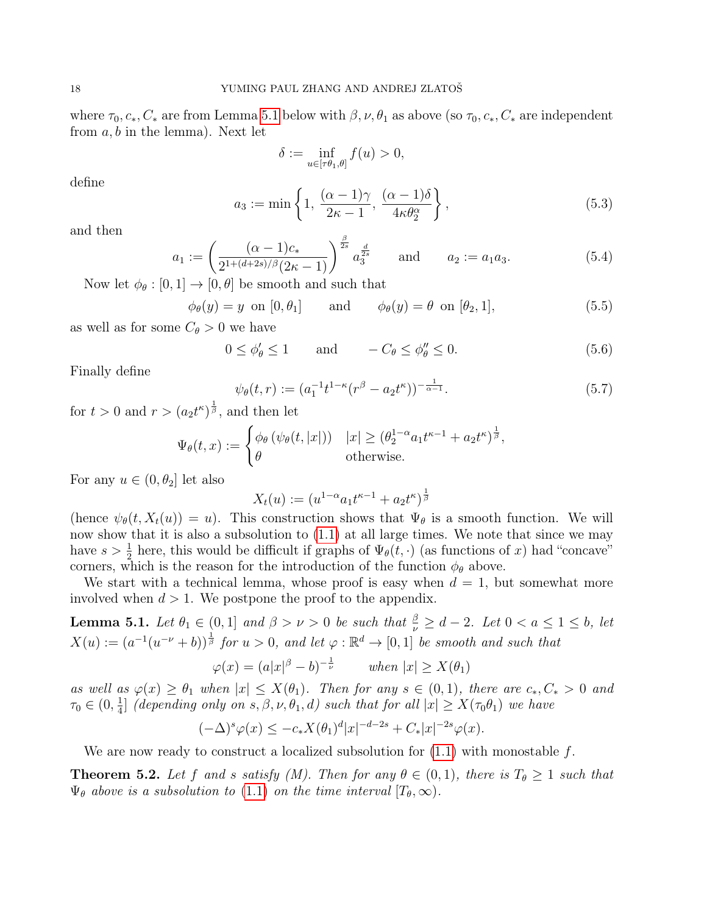where  $\tau_0, c_*, C_*$  are from Lemma [5.1](#page-17-0) below with  $\beta, \nu, \theta_1$  as above (so  $\tau_0, c_*, C_*$  are independent from  $a, b$  in the lemma). Next let

$$
\delta := \inf_{u \in [\tau \theta_1, \theta]} f(u) > 0,
$$

define

<span id="page-17-3"></span>
$$
a_3 := \min\left\{1, \frac{(\alpha - 1)\gamma}{2\kappa - 1}, \frac{(\alpha - 1)\delta}{4\kappa\theta_2^{\alpha}}\right\},\tag{5.3}
$$

and then

<span id="page-17-2"></span>
$$
a_1 := \left(\frac{(\alpha - 1)c_*}{2^{1 + (d+2s)/\beta}(2\kappa - 1)}\right)^{\frac{\beta}{2s}} a_3^{\frac{d}{2s}} \quad \text{and} \quad a_2 := a_1 a_3. \tag{5.4}
$$

Now let  $\phi_{\theta} : [0, 1] \rightarrow [0, \theta]$  be smooth and such that

$$
\phi_{\theta}(y) = y \text{ on } [0, \theta_1] \quad \text{and} \quad \phi_{\theta}(y) = \theta \text{ on } [\theta_2, 1], \tag{5.5}
$$

as well as for some  $C_{\theta} > 0$  we have

<span id="page-17-1"></span>
$$
0 \le \phi_{\theta}' \le 1 \quad \text{and} \quad -C_{\theta} \le \phi_{\theta}'' \le 0. \tag{5.6}
$$

Finally define

$$
\psi_{\theta}(t,r) := (a_1^{-1}t^{1-\kappa}(r^{\beta} - a_2t^{\kappa}))^{-\frac{1}{\alpha-1}}.
$$
\n(5.7)

for  $t > 0$  and  $r > (a_2 t^{\kappa})^{\frac{1}{\beta}}$ , and then let

$$
\Psi_{\theta}(t,x) := \begin{cases} \phi_{\theta}(\psi_{\theta}(t,|x|)) & |x| \ge (\theta_2^{1-\alpha} a_1 t^{\kappa-1} + a_2 t^{\kappa})^{\frac{1}{\beta}}, \\ \theta & \text{otherwise.} \end{cases}
$$

For any  $u \in (0, \theta_2]$  let also

$$
X_t(u) := (u^{1-\alpha}a_1t^{\kappa-1} + a_2t^{\kappa})^{\frac{1}{\beta}}
$$

(hence  $\psi_{\theta}(t, X_t(u)) = u$ ). This construction shows that  $\Psi_{\theta}$  is a smooth function. We will now show that it is also a subsolution to [\(1.1\)](#page-0-0) at all large times. We note that since we may have  $s > \frac{1}{2}$  here, this would be difficult if graphs of  $\Psi_{\theta}(t, \cdot)$  (as functions of x) had "concave" corners, which is the reason for the introduction of the function  $\phi_{\theta}$  above.

We start with a technical lemma, whose proof is easy when  $d = 1$ , but somewhat more involved when  $d > 1$ . We postpone the proof to the appendix.

<span id="page-17-0"></span>**Lemma 5.1.** Let  $\theta_1 \in (0,1]$  and  $\beta > \nu > 0$  be such that  $\frac{\beta}{\nu} \geq d-2$ . Let  $0 < a \leq 1 \leq b$ , let  $X(u) := (a^{-1}(u^{-\nu} + b))^{\frac{1}{\beta}}$  for  $u > 0$ , and let  $\varphi : \mathbb{R}^d \to [0, 1]$  be smooth and such that

$$
\varphi(x) = (a|x|^{\beta} - b)^{-\frac{1}{\nu}} \quad \text{when } |x| \ge X(\theta_1)
$$

as well as  $\varphi(x) \geq \theta_1$  when  $|x| \leq X(\theta_1)$ . Then for any  $s \in (0,1)$ , there are  $c_*, C_* > 0$  and  $\tau_0 \in (0, \frac{1}{4})$  $\frac{1}{4}$ ] (depending only on s,  $\beta$ ,  $\nu$ ,  $\theta_1$ , d) such that for all  $|x| \geq X(\tau_0 \theta_1)$  we have

$$
(-\Delta)^s \varphi(x) \le -c_* X(\theta_1)^d |x|^{-d-2s} + C_* |x|^{-2s} \varphi(x).
$$

We are now ready to construct a localized subsolution for  $(1.1)$  with monostable f.

<span id="page-17-4"></span>**Theorem 5.2.** Let f and s satisfy (M). Then for any  $\theta \in (0,1)$ , there is  $T_{\theta} \geq 1$  such that  $\Psi_{\theta}$  above is a subsolution to [\(1.1\)](#page-0-0) on the time interval  $[T_{\theta},\infty)$ .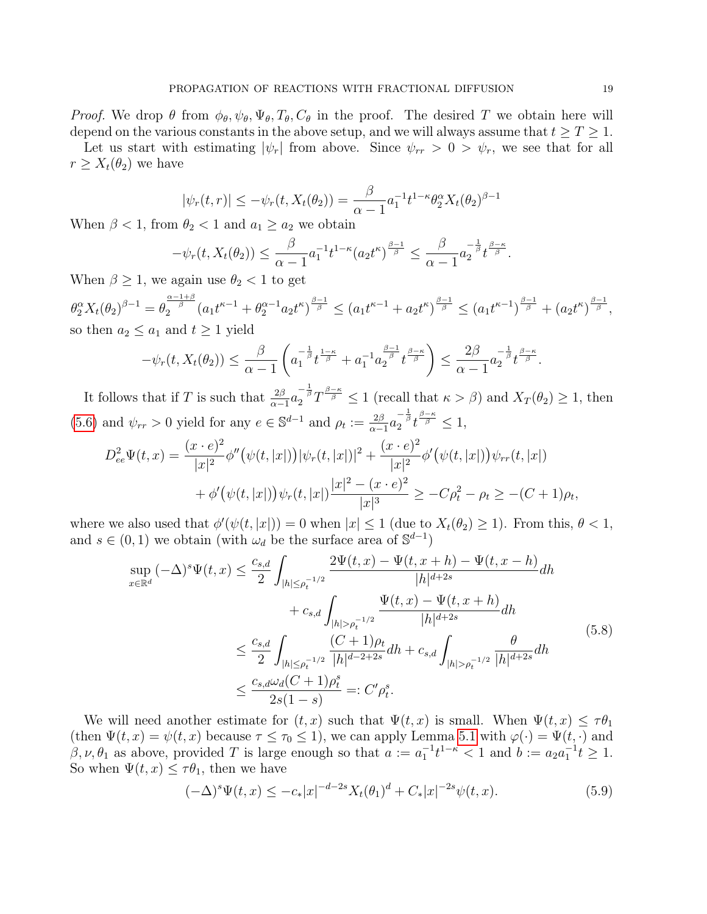*Proof.* We drop  $\theta$  from  $\phi_{\theta}, \psi_{\theta}, \Psi_{\theta}, T_{\theta}, C_{\theta}$  in the proof. The desired T we obtain here will depend on the various constants in the above setup, and we will always assume that  $t \geq T \geq 1$ .

Let us start with estimating  $|\psi_r|$  from above. Since  $\psi_{rr} > 0 > \psi_r$ , we see that for all  $r \geq X_t(\theta_2)$  we have

$$
|\psi_r(t,r)| \leq -\psi_r(t, X_t(\theta_2)) = \frac{\beta}{\alpha - 1} a_1^{-1} t^{1-\kappa} \theta_2^{\alpha} X_t(\theta_2)^{\beta - 1}
$$

When  $\beta < 1$ , from  $\theta_2 < 1$  and  $a_1 \ge a_2$  we obtain

$$
-\psi_r(t,X_t(\theta_2))\leq \frac{\beta}{\alpha-1}a_1^{-1}t^{1-\kappa}(a_2t^{\kappa})^{\frac{\beta-1}{\beta}}\leq \frac{\beta}{\alpha-1}a_2^{-\frac{1}{\beta}}t^{\frac{\beta-\kappa}{\beta}}.
$$

When  $\beta \geq 1$ , we again use  $\theta_2 < 1$  to get

 $\theta_2^{\alpha} X_t(\theta_2)^{\beta-1} = \theta_2^{\frac{\alpha-1+\beta}{\beta}}(a_1t^{\kappa-1}+\theta_2^{\alpha-1}a_2t^{\kappa})^{\frac{\beta-1}{\beta}} \le (a_1t^{\kappa-1}+a_2t^{\kappa})^{\frac{\beta-1}{\beta}} \le (a_1t^{\kappa-1})^{\frac{\beta-1}{\beta}}+ (a_2t^{\kappa})^{\frac{\beta-1}{\beta}},$ so then  $a_2 \leq a_1$  and  $t \geq 1$  yield

$$
-\psi_r(t, X_t(\theta_2)) \leq \frac{\beta}{\alpha - 1} \left( a_1^{-\frac{1}{\beta}} t^{\frac{1 - \kappa}{\beta}} + a_1^{-1} a_2^{\frac{\beta - 1}{\beta}} t^{\frac{\beta - \kappa}{\beta}} \right) \leq \frac{2\beta}{\alpha - 1} a_2^{-\frac{1}{\beta}} t^{\frac{\beta - \kappa}{\beta}}.
$$

It follows that if T is such that  $\frac{2\beta}{\alpha-1}a_2^{-\frac{1}{\beta}}T^{\frac{\beta-\kappa}{\beta}} \leq 1$  (recall that  $\kappa > \beta$ ) and  $X_T(\theta_2) \geq 1$ , then [\(5.6\)](#page-17-1) and  $\psi_{rr} > 0$  yield for any  $e \in \mathbb{S}^{d-1}$  and  $\rho_t := \frac{2\beta}{\alpha - 1}$  $\frac{2\beta}{\alpha-1}a_2^{-\frac{1}{\beta}}t^{\frac{\beta-\kappa}{\beta}} \leq 1,$ 

$$
D_{ee}^{2}\Psi(t,x) = \frac{(x \cdot e)^{2}}{|x|^{2}}\phi''(\psi(t,|x|))|\psi_{r}(t,|x|)|^{2} + \frac{(x \cdot e)^{2}}{|x|^{2}}\phi'(\psi(t,|x|))\psi_{rr}(t,|x|)
$$
  
+ 
$$
\phi'(\psi(t,|x|))\psi_{r}(t,|x|)\frac{|x|^{2} - (x \cdot e)^{2}}{|x|^{3}} \geq -C\rho_{t}^{2} - \rho_{t} \geq -(C+1)\rho_{t},
$$

where we also used that  $\phi'(\psi(t,|x|)) = 0$  when  $|x| \leq 1$  (due to  $X_t(\theta_2) \geq 1$ ). From this,  $\theta < 1$ , and  $s \in (0, 1)$  we obtain (with  $\omega_d$  be the surface area of  $\mathbb{S}^{d-1}$ )

<span id="page-18-0"></span>
$$
\sup_{x \in \mathbb{R}^d} (-\Delta)^s \Psi(t, x) \le \frac{c_{s,d}}{2} \int_{|h| \le \rho_t^{-1/2}} \frac{2\Psi(t, x) - \Psi(t, x + h) - \Psi(t, x - h)}{|h|^{d+2s}} dh + c_{s,d} \int_{|h| > \rho_t^{-1/2}} \frac{\Psi(t, x) - \Psi(t, x + h)}{|h|^{d+2s}} dh \le \frac{c_{s,d}}{2} \int_{|h| \le \rho_t^{-1/2}} \frac{(C+1)\rho_t}{|h|^{d-2+2s}} dh + c_{s,d} \int_{|h| > \rho_t^{-1/2}} \frac{\theta}{|h|^{d+2s}} dh \le \frac{c_{s,d} \omega_d (C+1)\rho_t^s}{2s(1-s)} =: C'\rho_t^s.
$$
\n(5.8)

We will need another estimate for  $(t, x)$  such that  $\Psi(t, x)$  is small. When  $\Psi(t, x) \leq \tau \theta_1$ (then  $\Psi(t, x) = \psi(t, x)$  because  $\tau \leq \tau_0 \leq 1$ ), we can apply Lemma [5.1](#page-17-0) with  $\varphi(\cdot) = \Psi(t, \cdot)$  and  $\beta, \nu, \theta_1$  as above, provided T is large enough so that  $a := a_1^{-1}t^{1-\kappa} < 1$  and  $b := a_2a_1^{-1}t \geq 1$ . So when  $\Psi(t, x) \leq \tau \theta_1$ , then we have

<span id="page-18-1"></span>
$$
(-\Delta)^{s} \Psi(t, x) \leq -c_{*}|x|^{-d-2s} X_{t}(\theta_{1})^{d} + C_{*}|x|^{-2s} \psi(t, x).
$$
\n(5.9)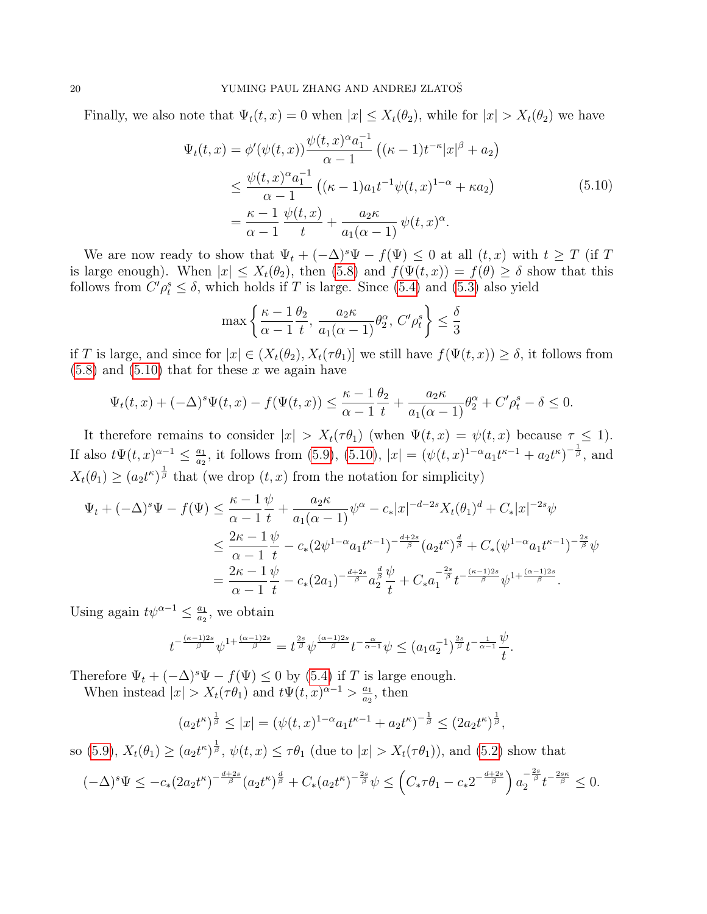Finally, we also note that  $\Psi_t(t, x) = 0$  when  $|x| \leq X_t(\theta_2)$ , while for  $|x| > X_t(\theta_2)$  we have

<span id="page-19-0"></span>
$$
\Psi_t(t,x) = \phi'(\psi(t,x)) \frac{\psi(t,x)^{\alpha} a_1^{-1}}{\alpha - 1} \left( (\kappa - 1) t^{-\kappa} |x|^{\beta} + a_2 \right)
$$
\n
$$
\leq \frac{\psi(t,x)^{\alpha} a_1^{-1}}{\alpha - 1} \left( (\kappa - 1) a_1 t^{-1} \psi(t,x)^{1-\alpha} + \kappa a_2 \right)
$$
\n
$$
= \frac{\kappa - 1}{\alpha - 1} \frac{\psi(t,x)}{t} + \frac{a_2 \kappa}{a_1 (\alpha - 1)} \psi(t,x)^{\alpha}.
$$
\n(5.10)

We are now ready to show that  $\Psi_t + (-\Delta)^s \Psi - f(\Psi) \leq 0$  at all  $(t, x)$  with  $t \geq T$  (if T is large enough). When  $|x| \leq X_t(\theta_2)$ , then  $(5.8)$  and  $f(\Psi(t,x)) = f(\theta) \geq \delta$  show that this follows from  $C' \rho_t^s \leq \delta$ , which holds if T is large. Since [\(5.4\)](#page-17-2) and [\(5.3\)](#page-17-3) also yield

$$
\max\left\{\frac{\kappa-1}{\alpha-1}\frac{\theta_2}{t}, \frac{a_2\kappa}{a_1(\alpha-1)}\theta_2^{\alpha}, C'\rho_t^s\right\} \le \frac{\delta}{3}
$$

if T is large, and since for  $|x| \in (X_t(\theta_2), X_t(\tau \theta_1)]$  we still have  $f(\Psi(t,x)) \ge \delta$ , it follows from  $(5.8)$  and  $(5.10)$  that for these x we again have

$$
\Psi_t(t,x) + (-\Delta)^s \Psi(t,x) - f(\Psi(t,x)) \le \frac{\kappa - 1}{\alpha - 1} \frac{\theta_2}{t} + \frac{a_2 \kappa}{a_1(\alpha - 1)} \theta_2^{\alpha} + C' \rho_t^s - \delta \le 0.
$$

It therefore remains to consider  $|x| > X_t(\tau \theta_1)$  (when  $\Psi(t, x) = \psi(t, x)$  because  $\tau \leq 1$ ). If also  $t \Psi(t, x)^{\alpha-1} \leq \frac{a_1}{a_2}$  $\frac{a_1}{a_2}$ , it follows from [\(5.9\)](#page-18-1), [\(5.10\)](#page-19-0),  $|x| = (\psi(t,x)^{1-\alpha}a_1t^{\kappa-1} + a_2t^{\kappa})^{-\frac{1}{\beta}}$ , and  $X_t(\theta_1) \geq (a_2 t^{\kappa})^{\frac{1}{\beta}}$  that (we drop  $(t, x)$  from the notation for simplicity)

$$
\Psi_t + (-\Delta)^s \Psi - f(\Psi) \leq \frac{\kappa - 1}{\alpha - 1} \frac{\psi}{t} + \frac{a_2 \kappa}{a_1 (\alpha - 1)} \psi^{\alpha} - c_* |x|^{-d-2s} X_t(\theta_1)^d + C_* |x|^{-2s} \psi
$$
  

$$
\leq \frac{2\kappa - 1}{\alpha - 1} \frac{\psi}{t} - c_* (2\psi^{1-\alpha} a_1 t^{\kappa - 1})^{-\frac{d+2s}{\beta}} (a_2 t^{\kappa})^{\frac{d}{\beta}} + C_* (\psi^{1-\alpha} a_1 t^{\kappa - 1})^{-\frac{2s}{\beta}} \psi
$$
  

$$
= \frac{2\kappa - 1}{\alpha - 1} \frac{\psi}{t} - c_* (2a_1)^{-\frac{d+2s}{\beta}} a_2^{\frac{d}{\beta}} \frac{\psi}{t} + C_* a_1^{-\frac{2s}{\beta}} t^{-\frac{(\kappa - 1)2s}{\beta}} \psi^{1 + \frac{(\alpha - 1)2s}{\beta}}.
$$

Using again  $t\psi^{\alpha-1} \leq \frac{a_1}{a_2}$  $\frac{a_1}{a_2}$ , we obtain

$$
t^{-\frac{(\kappa-1)2s}{\beta}}\psi^{1+\frac{(\alpha-1)2s}{\beta}} = t^{\frac{2s}{\beta}}\psi^{\frac{(\alpha-1)2s}{\beta}}t^{-\frac{\alpha}{\alpha-1}}\psi \leq (a_1a_2^{-1})^{\frac{2s}{\beta}}t^{-\frac{1}{\alpha-1}}\frac{\psi}{t}.
$$

Therefore  $\Psi_t + (-\Delta)^s \Psi - f(\Psi) \leq 0$  by [\(5.4\)](#page-17-2) if T is large enough.

When instead  $|x| > X_t(\tau \theta_1)$  and  $t \Psi(t, x)^{\alpha-1} > \frac{a_1}{a_2}$  $\frac{a_1}{a_2}$ , then

$$
(a_2t^{\kappa})^{\frac{1}{\beta}} \le |x| = (\psi(t,x)^{1-\alpha}a_1t^{\kappa-1} + a_2t^{\kappa})^{-\frac{1}{\beta}} \le (2a_2t^{\kappa})^{\frac{1}{\beta}},
$$

so [\(5.9\)](#page-18-1),  $X_t(\theta_1) \geq (a_2 t^{\kappa})^{\frac{1}{\beta}}$ ,  $\psi(t, x) \leq \tau \theta_1$  (due to  $|x| > X_t(\tau \theta_1)$ ), and [\(5.2\)](#page-16-2) show that

$$
(-\Delta)^s \Psi \leq -c_*(2a_2 t^{\kappa})^{-\frac{d+2s}{\beta}} (a_2 t^{\kappa})^{\frac{d}{\beta}} + C_*(a_2 t^{\kappa})^{-\frac{2s}{\beta}} \psi \leq \left(C_* \tau \theta_1 - c_* 2^{-\frac{d+2s}{\beta}}\right) a_2^{-\frac{2s}{\beta}} t^{-\frac{2s\kappa}{\beta}} \leq 0.
$$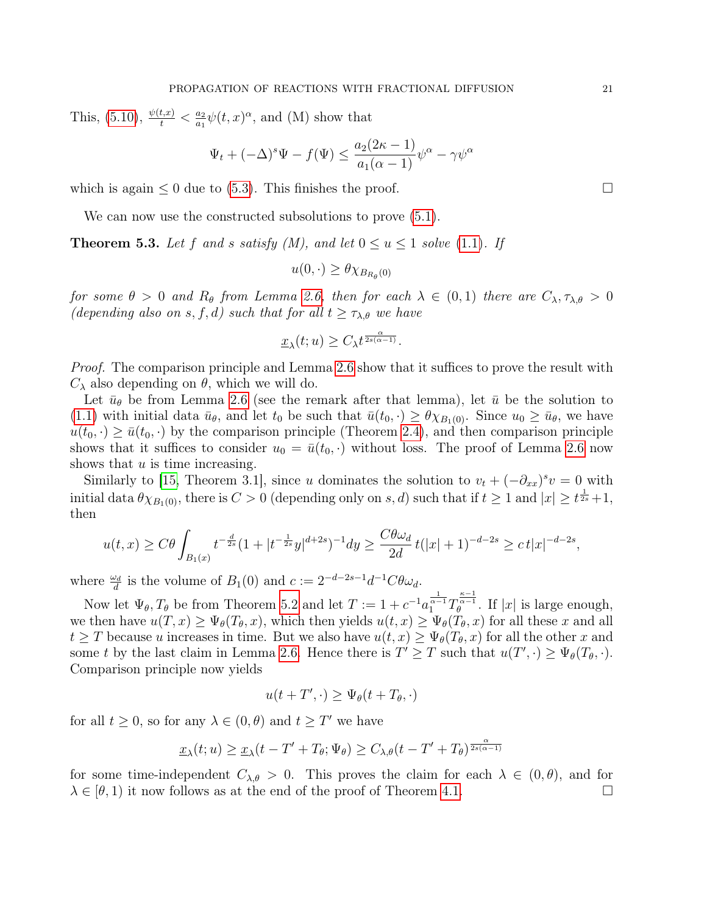This,  $(5.10), \frac{\psi(t,x)}{t} < \frac{a_2}{a_1}$  $(5.10), \frac{\psi(t,x)}{t} < \frac{a_2}{a_1}$  $\frac{a_2}{a_1}\psi(t,x)^{\alpha}$ , and (M) show that

$$
\Psi_t + (-\Delta)^s \Psi - f(\Psi) \le \frac{a_2(2\kappa - 1)}{a_1(\alpha - 1)} \psi^\alpha - \gamma \psi^\alpha
$$

which is again  $\leq 0$  due to [\(5.3\)](#page-17-3). This finishes the proof.  $\Box$ 

We can now use the constructed subsolutions to prove  $(5.1)$ .

**Theorem 5.3.** Let f and s satisfy  $(M)$ , and let  $0 \le u \le 1$  solve [\(1.1\)](#page-0-0). If

$$
u(0,\cdot) \geq \theta \chi_{B_{R_{\theta}}(0)}
$$

for some  $\theta > 0$  and  $R_{\theta}$  from Lemma [2.6,](#page-10-0) then for each  $\lambda \in (0,1)$  there are  $C_{\lambda}, \tau_{\lambda,\theta} > 0$ (depending also on s, f, d) such that for all  $t \geq \tau_{\lambda,\theta}$  we have

$$
\underline{x}_{\lambda}(t;u) \geq C_{\lambda} t^{\frac{\alpha}{2s(\alpha-1)}}.
$$

*Proof.* The comparison principle and Lemma [2.6](#page-10-0) show that it suffices to prove the result with  $C_{\lambda}$  also depending on  $\theta$ , which we will do.

Let  $\bar{u}_{\theta}$  be from Lemma [2.6](#page-10-0) (see the remark after that lemma), let  $\bar{u}$  be the solution to [\(1.1\)](#page-0-0) with initial data  $\bar{u}_{\theta}$ , and let  $t_0$  be such that  $\bar{u}(t_0, \cdot) \geq \theta \chi_{B_1(0)}$ . Since  $u_0 \geq \bar{u}_{\theta}$ , we have  $u(t_0, \cdot) \geq \bar{u}(t_0, \cdot)$  by the comparison principle (Theorem [2.4\)](#page-7-0), and then comparison principle shows that it suffices to consider  $u_0 = \bar{u}(t_0, \cdot)$  without loss. The proof of Lemma [2.6](#page-10-0) now shows that  $u$  is time increasing.

Similarly to [\[15,](#page-26-15) Theorem 3.1], since u dominates the solution to  $v_t + (-\partial_{xx})^s v = 0$  with initial data  $\theta \chi_{B_1(0)}$ , there is  $C > 0$  (depending only on s, d) such that if  $t \geq 1$  and  $|x| \geq t^{\frac{1}{2s}} + 1$ , then

$$
u(t,x) \geq C\theta \int_{B_1(x)} t^{-\frac{d}{2s}} (1+|t^{-\frac{1}{2s}}y|^{d+2s})^{-1} dy \geq \frac{C\theta \omega_d}{2d} t(|x|+1)^{-d-2s} \geq c |x|^{-d-2s},
$$

where  $\frac{\omega_d}{d}$  is the volume of  $B_1(0)$  and  $c := 2^{-d-2s-1}d^{-1}C\theta\omega_d$ .

Now let  $\Psi_{\theta}$ ,  $T_{\theta}$  be from Theorem [5.2](#page-17-4) and let  $T := 1 + c^{-1} a_1^{\frac{1}{\alpha-1}} T_{\theta}^{\frac{\kappa-1}{\alpha-1}}$ . If |x| is large enough, we then have  $u(T, x) \geq \Psi_{\theta}(T_{\theta}, x)$ , which then yields  $u(t, x) \geq \Psi_{\theta}(T_{\theta}, x)$  for all these x and all  $t \geq T$  because u increases in time. But we also have  $u(t, x) \geq \Psi_{\theta}(T_{\theta}, x)$  for all the other x and some t by the last claim in Lemma [2.6.](#page-10-0) Hence there is  $T' \geq T$  such that  $u(T', \cdot) \geq \Psi_{\theta}(T_{\theta}, \cdot)$ . Comparison principle now yields

$$
u(t+T',\cdot) \geq \Psi_{\theta}(t+T_{\theta},\cdot)
$$

for all  $t \geq 0$ , so for any  $\lambda \in (0, \theta)$  and  $t \geq T'$  we have

$$
\underline{x}_{\lambda}(t; u) \ge \underline{x}_{\lambda}(t - T' + T_{\theta}; \Psi_{\theta}) \ge C_{\lambda, \theta}(t - T' + T_{\theta})^{\frac{\alpha}{2s(\alpha - 1)}}
$$

for some time-independent  $C_{\lambda,\theta} > 0$ . This proves the claim for each  $\lambda \in (0,\theta)$ , and for  $\lambda \in (\theta, 1)$  it now follows as at the end of the proof of Theorem [4.1.](#page-15-2)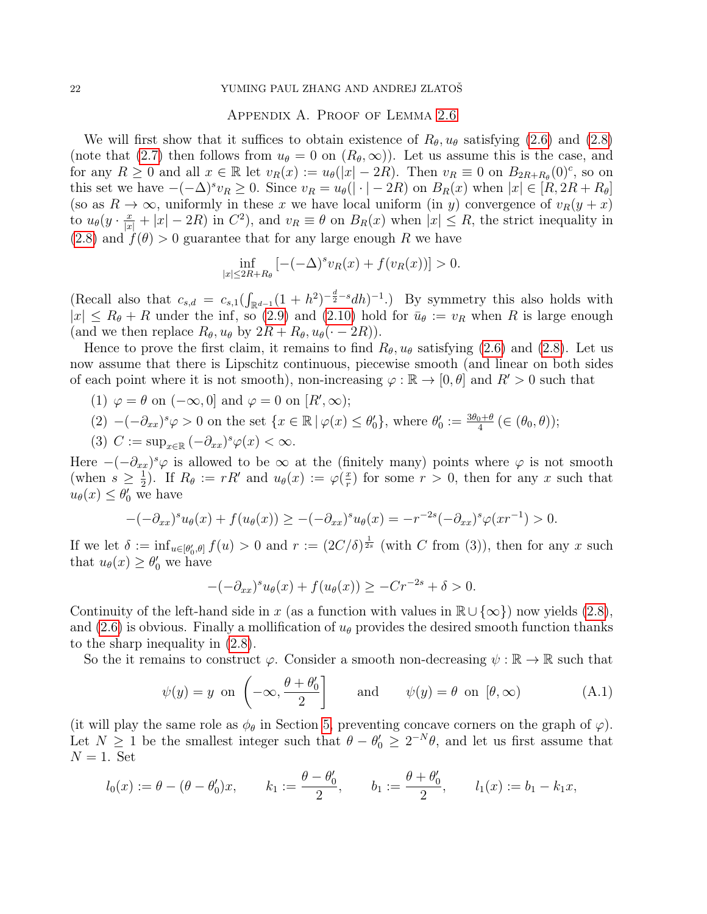#### 22 YUMING PAUL ZHANG AND ANDREJ ZLATOŠ

### Appendix A. Proof of Lemma [2.6](#page-10-0)

We will first show that it suffices to obtain existence of  $R_{\theta}$ ,  $u_{\theta}$  satisfying [\(2.6\)](#page-10-4) and [\(2.8\)](#page-10-5) (note that [\(2.7\)](#page-10-6) then follows from  $u_{\theta} = 0$  on  $(R_{\theta}, \infty)$ ). Let us assume this is the case, and for any  $R \geq 0$  and all  $x \in \mathbb{R}$  let  $v_R(x) := u_\theta(|x| - 2R)$ . Then  $v_R \equiv 0$  on  $B_{2R+R_\theta}(0)$ <sup>c</sup>, so on this set we have  $-(-\Delta)^s v_R \geq 0$ . Since  $v_R = u_\theta(|\cdot| - 2R)$  on  $B_R(x)$  when  $|x| \in [R, 2R + R_\theta]$ (so as  $R \to \infty$ , uniformly in these x we have local uniform (in y) convergence of  $v_R(y + x)$ to  $u_{\theta}(y \cdot \frac{x}{|x|} + |x| - 2R)$  in  $C^2$ , and  $v_R \equiv \theta$  on  $B_R(x)$  when  $|x| \le R$ , the strict inequality in  $(2.8)$  and  $f(\theta) > 0$  guarantee that for any large enough R we have

$$
\inf_{|x| \le 2R + R_{\theta}} \left[ -(-\Delta)^s v_R(x) + f(v_R(x)) \right] > 0.
$$

(Recall also that  $c_{s,d} = c_{s,1}(\int_{\mathbb{R}^{d-1}} (1+h^2)^{-\frac{d}{2}-s} dh)^{-1}$ .) By symmetry this also holds with  $|x| \le R_{\theta} + R$  under the inf, so [\(2.9\)](#page-10-7) and [\(2.10\)](#page-10-3) hold for  $\bar{u}_{\theta} := v_R$  when R is large enough (and we then replace  $R_{\theta}$ ,  $u_{\theta}$  by  $2R + R_{\theta}$ ,  $u_{\theta}$ ( $\cdot$  - 2R)).

Hence to prove the first claim, it remains to find  $R_{\theta}$ ,  $u_{\theta}$  satisfying [\(2.6\)](#page-10-4) and [\(2.8\)](#page-10-5). Let us now assume that there is Lipschitz continuous, piecewise smooth (and linear on both sides of each point where it is not smooth), non-increasing  $\varphi : \mathbb{R} \to [0, \theta]$  and  $R' > 0$  such that

(1) 
$$
\varphi = \theta
$$
 on  $(-\infty, 0]$  and  $\varphi = 0$  on  $[R', \infty)$ ;

$$
(2) \ -(-\partial_{xx})^s \varphi > 0 \text{ on the set } \{x \in \mathbb{R} \mid \varphi(x) \le \theta_0'\}, \text{ where } \theta_0' := \frac{3\theta_0 + \theta}{4} \in (\theta_0, \theta));
$$

(3) 
$$
C := \sup_{x \in \mathbb{R}} \left( -\partial_{xx} \right)^s \varphi(x) < \infty.
$$

Here  $-(-\partial_{xx})^s\varphi$  is allowed to be  $\infty$  at the (finitely many) points where  $\varphi$  is not smooth (when  $s \geq \frac{1}{2}$ )  $(\frac{1}{2})$ . If  $R_{\theta} := rR'$  and  $u_{\theta}(x) := \varphi(\frac{x}{r})$  $(\frac{x}{r})$  for some  $r > 0$ , then for any x such that  $u_{\theta}(x) \leq \theta_0'$  we have

$$
-(-\partial_{xx})^s u_{\theta}(x) + f(u_{\theta}(x)) \ge -(-\partial_{xx})^s u_{\theta}(x) = -r^{-2s}(-\partial_{xx})^s \varphi(xr^{-1}) > 0.
$$

If we let  $\delta := \inf_{u \in [\theta'_0, \theta]} f(u) > 0$  and  $r := (2C/\delta)^{\frac{1}{2s}}$  (with C from (3)), then for any x such that  $u_{\theta}(x) \geq \theta_0'$  we have

$$
-(-\partial_{xx})^s u_\theta(x) + f(u_\theta(x)) \ge -Cr^{-2s} + \delta > 0.
$$

Continuity of the left-hand side in x (as a function with values in  $\mathbb{R} \cup {\infty}$ ) now yields [\(2.8\)](#page-10-5), and [\(2.6\)](#page-10-4) is obvious. Finally a mollification of  $u_{\theta}$  provides the desired smooth function thanks to the sharp inequality in [\(2.8\)](#page-10-5).

So the it remains to construct  $\varphi$ . Consider a smooth non-decreasing  $\psi : \mathbb{R} \to \mathbb{R}$  such that

<span id="page-21-0"></span>
$$
\psi(y) = y \text{ on } \left( -\infty, \frac{\theta + \theta_0'}{2} \right] \quad \text{and} \quad \psi(y) = \theta \text{ on } [\theta, \infty)
$$
\n(A.1)

(it will play the same role as  $\phi_{\theta}$  in Section [5,](#page-16-0) preventing concave corners on the graph of  $\varphi$ ). Let  $N \geq 1$  be the smallest integer such that  $\theta - \theta_0 \geq 2^{-N} \theta$ , and let us first assume that  $N=1$ . Set

$$
l_0(x) := \theta - (\theta - \theta'_0)x
$$
,  $k_1 := \frac{\theta - \theta'_0}{2}$ ,  $b_1 := \frac{\theta + \theta'_0}{2}$ ,  $l_1(x) := b_1 - k_1x$ ,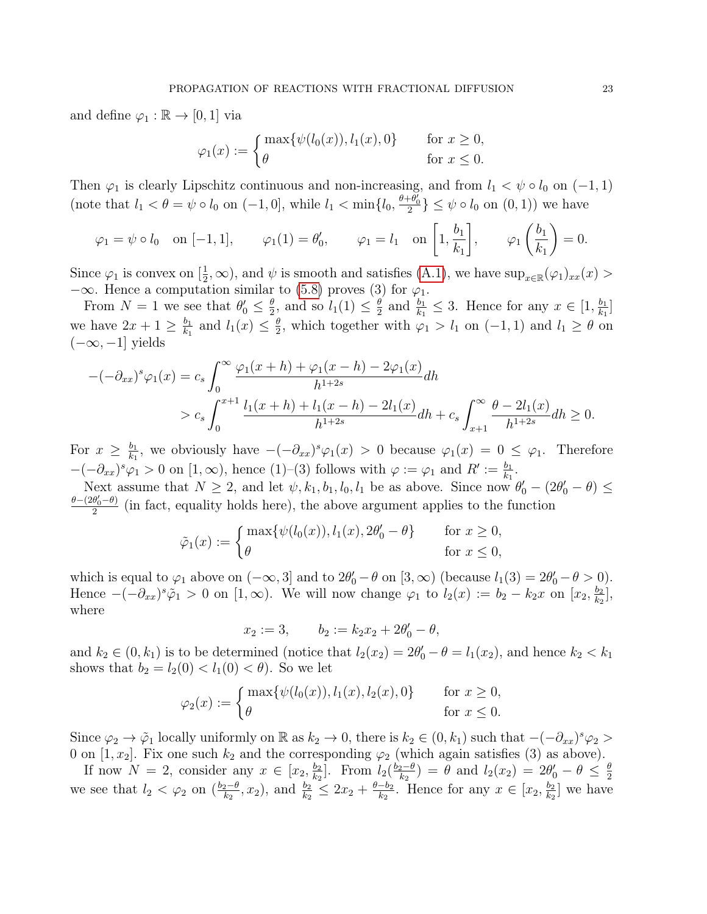and define  $\varphi_1 : \mathbb{R} \to [0, 1]$  via

$$
\varphi_1(x) := \begin{cases} \max\{\psi(l_0(x)), l_1(x), 0\} & \text{for } x \ge 0, \\ \theta & \text{for } x \le 0. \end{cases}
$$

Then  $\varphi_1$  is clearly Lipschitz continuous and non-increasing, and from  $l_1 < \psi \circ l_0$  on  $(-1, 1)$ (note that  $l_1 < \theta = \psi \circ l_0$  on  $(-1, 0]$ , while  $l_1 < \min\{l_0, \frac{\theta + \theta'_0}{2}\}\leq \psi \circ l_0$  on  $(0, 1)$ ) we have

$$
\varphi_1 = \psi \circ l_0
$$
 on  $[-1, 1]$ ,  $\varphi_1(1) = \theta'_0$ ,  $\varphi_1 = l_1$  on  $\left[1, \frac{b_1}{k_1}\right]$ ,  $\varphi_1\left(\frac{b_1}{k_1}\right) = 0$ .

Since  $\varphi_1$  is convex on  $\left[\frac{1}{2}\right]$  $(\frac{1}{2}, \infty)$ , and  $\psi$  is smooth and satisfies [\(A.1\)](#page-21-0), we have  $\sup_{x \in \mathbb{R}} (\varphi_1)_{xx}(x) >$  $-\infty$ . Hence a computation similar to [\(5.8\)](#page-18-0) proves (3) for  $\varphi_1$ .

From  $N=1$  we see that  $\theta'_0 \leq \frac{\theta}{2}$  $\frac{\theta}{2}$ , and so  $l_1(1) \leq \frac{\theta}{2}$  $\frac{\theta}{2}$  and  $\frac{b_1}{k_1} \leq 3$ . Hence for any  $x \in [1, \frac{b_1}{k_1}]$  $\frac{b_1}{k_1}$ we have  $2x+1 \geq \frac{b_1}{b_2}$  $\frac{b_1}{k_1}$  and  $l_1(x) \leq \frac{\theta}{2}$  $\frac{\theta}{2}$ , which together with  $\varphi_1 > l_1$  on  $(-1, 1)$  and  $l_1 \ge \theta$  on  $(-\infty, -1]$  yields

$$
-(-\partial_{xx})^s \varphi_1(x) = c_s \int_0^\infty \frac{\varphi_1(x+h) + \varphi_1(x-h) - 2\varphi_1(x)}{h^{1+2s}} dh
$$
  
>  $c_s \int_0^{x+1} \frac{l_1(x+h) + l_1(x-h) - 2l_1(x)}{h^{1+2s}} dh + c_s \int_{x+1}^\infty \frac{\theta - 2l_1(x)}{h^{1+2s}} dh \ge 0.$ 

For  $x \geq \frac{b_1}{k_1}$  $\frac{b_1}{k_1}$ , we obviously have  $-(-\partial_{xx})^s \varphi_1(x) > 0$  because  $\varphi_1(x) = 0 \leq \varphi_1$ . Therefore  $-(-\partial_{xx})^s \varphi_1 > 0$  on  $[1, \infty)$ , hence  $(1)$ - $(3)$  follows with  $\varphi := \varphi_1$  and  $R' := \frac{b_1}{k_1}$ .

Next assume that  $N \ge 2$ , and let  $\psi$ ,  $k_1$ ,  $b_1$ ,  $l_0$ ,  $l_1$  be as above. Since now  $\theta'_0 - (2\theta'_0 - \theta) \le$  $\theta - (2\theta'_0 - \theta)$  $\frac{\theta_0 - \theta_j}{2}$  (in fact, equality holds here), the above argument applies to the function

$$
\tilde{\varphi}_1(x) := \begin{cases} \max\{\psi(l_0(x)), l_1(x), 2\theta'_0 - \theta\} & \text{for } x \ge 0, \\ \theta & \text{for } x \le 0, \end{cases}
$$

which is equal to  $\varphi_1$  above on  $(-\infty, 3]$  and to  $2\theta'_0 - \theta$  on  $[3, \infty)$  (because  $l_1(3) = 2\theta'_0 - \theta > 0$ ). Hence  $-(-\partial_{xx})^s \tilde{\varphi}_1 > 0$  on  $[1,\infty)$ . We will now change  $\varphi_1$  to  $l_2(x) := b_2 - k_2x$  on  $[x_2, \frac{b_2}{k_2}]$  $\frac{b_2}{k_2}$ , where

$$
x_2 := 3
$$
,  $b_2 := k_2 x_2 + 2\theta'_0 - \theta$ ,

and  $k_2 \in (0, k_1)$  is to be determined (notice that  $l_2(x_2) = 2\theta'_0 - \theta = l_1(x_2)$ , and hence  $k_2 < k_1$ shows that  $b_2 = l_2(0) < l_1(0) < \theta$ . So we let

$$
\varphi_2(x) := \begin{cases} \max\{\psi(l_0(x)), l_1(x), l_2(x), 0\} & \text{for } x \ge 0, \\ \theta & \text{for } x \le 0. \end{cases}
$$

Since  $\varphi_2 \to \tilde{\varphi}_1$  locally uniformly on R as  $k_2 \to 0$ , there is  $k_2 \in (0, k_1)$  such that  $-(-\partial_{xx})^s \varphi_2 >$ 0 on [1,  $x_2$ ]. Fix one such  $k_2$  and the corresponding  $\varphi_2$  (which again satisfies (3) as above).

If now  $N = 2$ , consider any  $x \in [x_2, \frac{b_2}{k_2}]$  $\frac{b_2}{k_2}$ . From  $l_2(\frac{b_2-\theta}{k_2})$  $\frac{2e^{-\theta}}{k_2}$ ) =  $\theta$  and  $l_2(x_2) = 2\theta'_0 - \theta \leq \frac{\theta}{2}$ 2 we see that  $l_2 < \varphi_2$  on  $\left(\frac{b_2-\theta}{k_2}\right)$  $(\frac{b_2-\theta}{k_2}, x_2)$ , and  $\frac{b_2}{k_2} \leq 2x_2 + \frac{\theta-b_2}{k_2}$  $\frac{-b_2}{k_2}$ . Hence for any  $x \in [x_2, \frac{b_2}{k_2}]$  $\frac{b_2}{k_2}$  we have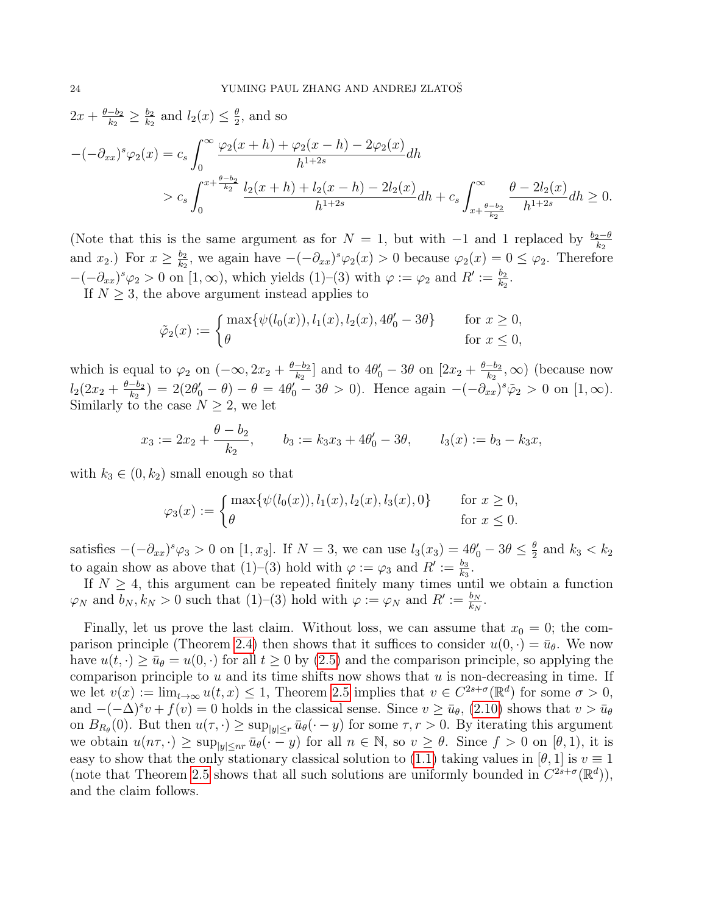$2x + \frac{\theta - b_2}{k_2}$  $\frac{-b_2}{k_2} \geq \frac{b_2}{k_2}$  $\frac{b_2}{k_2}$  and  $l_2(x) \leq \frac{\theta}{2}$  $\frac{\theta}{2}$ , and so

$$
-(-\partial_{xx})^s \varphi_2(x) = c_s \int_0^\infty \frac{\varphi_2(x+h) + \varphi_2(x-h) - 2\varphi_2(x)}{h^{1+2s}} dh
$$
  
>  $c_s \int_0^{x + \frac{\theta - b_2}{k_2}} \frac{l_2(x+h) + l_2(x-h) - 2l_2(x)}{h^{1+2s}} dh + c_s \int_{x + \frac{\theta - b_2}{k_2}}^\infty \frac{\theta - 2l_2(x)}{h^{1+2s}} dh \ge 0.$ 

(Note that this is the same argument as for  $N = 1$ , but with  $-1$  and 1 replaced by  $\frac{b_2 - \theta}{k_2}$ and  $x_2$ .) For  $x \geq \frac{b_2}{k_2}$  $\frac{b_2}{k_2}$ , we again have  $-(-\partial_{xx})^s \varphi_2(x) > 0$  because  $\varphi_2(x) = 0 ≤ \varphi_2$ . Therefore  $-(-\partial_{xx})^s \varphi_2 > 0$  on  $[1, \infty)$ , which yields  $(1)-(3)$  with  $\varphi := \varphi_2$  and  $R' := \frac{b_2}{k_2}$ .

If  $N \geq 3$ , the above argument instead applies to

$$
\tilde{\varphi}_2(x) := \begin{cases} \max\{\psi(l_0(x)), l_1(x), l_2(x), 4\theta'_0 - 3\theta\} & \text{for } x \ge 0, \\ \theta & \text{for } x \le 0, \end{cases}
$$

which is equal to  $\varphi_2$  on  $(-\infty, 2x_2 + \frac{\theta - b_2}{k_2})$  $\frac{-b_2}{k_2}$ ] and to  $4\theta_0' - 3\theta$  on  $[2x_2 + \frac{\theta - b_2}{k_2}]$  $\frac{-b_2}{k_2}$ ,  $\infty$ ) (because now  $l_2(2x_2+\frac{\theta-b_2}{k_2})$  $(\frac{-b_2}{k_2}) = 2(2\theta_0' - \theta) - \theta = 4\theta_0' - 3\theta > 0$ . Hence again  $-(-\partial_{xx})^s \tilde{\varphi}_2 > 0$  on  $[1, \infty)$ . Similarly to the case  $N \geq 2$ , we let

$$
x_3 := 2x_2 + \frac{\theta - b_2}{k_2}
$$
,  $b_3 := k_3x_3 + 4\theta'_0 - 3\theta$ ,  $l_3(x) := b_3 - k_3x$ ,

with  $k_3 \in (0, k_2)$  small enough so that

$$
\varphi_3(x) := \begin{cases} \max\{\psi(l_0(x)), l_1(x), l_2(x), l_3(x), 0\} & \text{for } x \ge 0, \\ \theta & \text{for } x \le 0. \end{cases}
$$

satisfies  $-(-\partial_{xx})^s \varphi_3 > 0$  on  $[1, x_3]$ . If  $N = 3$ , we can use  $l_3(x_3) = 4\theta'_0 - 3\theta \le \frac{\theta}{2}$  $\frac{\theta}{2}$  and  $k_3 < k_2$ to again show as above that (1)–(3) hold with  $\varphi := \varphi_3$  and  $R' := \frac{b_3}{k_3}$ .

If  $N \geq 4$ , this argument can be repeated finitely many times until we obtain a function  $\varphi_N$  and  $b_N, k_N > 0$  such that  $(1)$ – $(3)$  hold with  $\varphi := \varphi_N$  and  $R' := \frac{b_N}{k_N}$ .

Finally, let us prove the last claim. Without loss, we can assume that  $x_0 = 0$ ; the com-parison principle (Theorem [2.4\)](#page-7-0) then shows that it suffices to consider  $u(0, \cdot) = \bar{u}_{\theta}$ . We now have  $u(t, \cdot) \ge \bar{u}_{\theta} = u(0, \cdot)$  for all  $t \ge 0$  by [\(2.5\)](#page-10-8) and the comparison principle, so applying the comparison principle to u and its time shifts now shows that  $u$  is non-decreasing in time. If we let  $v(x) := \lim_{t\to\infty} u(t, x) \leq 1$ , Theorem [2.5](#page-9-0) implies that  $v \in C^{2s+\sigma}(\mathbb{R}^d)$  for some  $\sigma > 0$ , and  $-(-\Delta)^s v + f(v) = 0$  holds in the classical sense. Since  $v \ge \bar{u}_{\theta}$ , [\(2.10\)](#page-10-3) shows that  $v > \bar{u}_{\theta}$ on  $B_{R_{\theta}}(0)$ . But then  $u(\tau, \cdot) \geq \sup_{|y| \leq r} \bar{u}_{\theta}(\cdot - y)$  for some  $\tau, r > 0$ . By iterating this argument we obtain  $u(n\tau, \cdot) \geq \sup_{|y| \leq nr} \bar{u}_{\theta}(\cdot - y)$  for all  $n \in \mathbb{N}$ , so  $v \geq \theta$ . Since  $f > 0$  on  $[\theta, 1)$ , it is easy to show that the only stationary classical solution to [\(1.1\)](#page-0-0) taking values in [ $\theta$ , 1] is  $v \equiv 1$ (note that Theorem [2.5](#page-9-0) shows that all such solutions are uniformly bounded in  $C^{2s+\sigma}(\mathbb{R}^d)$ ), and the claim follows.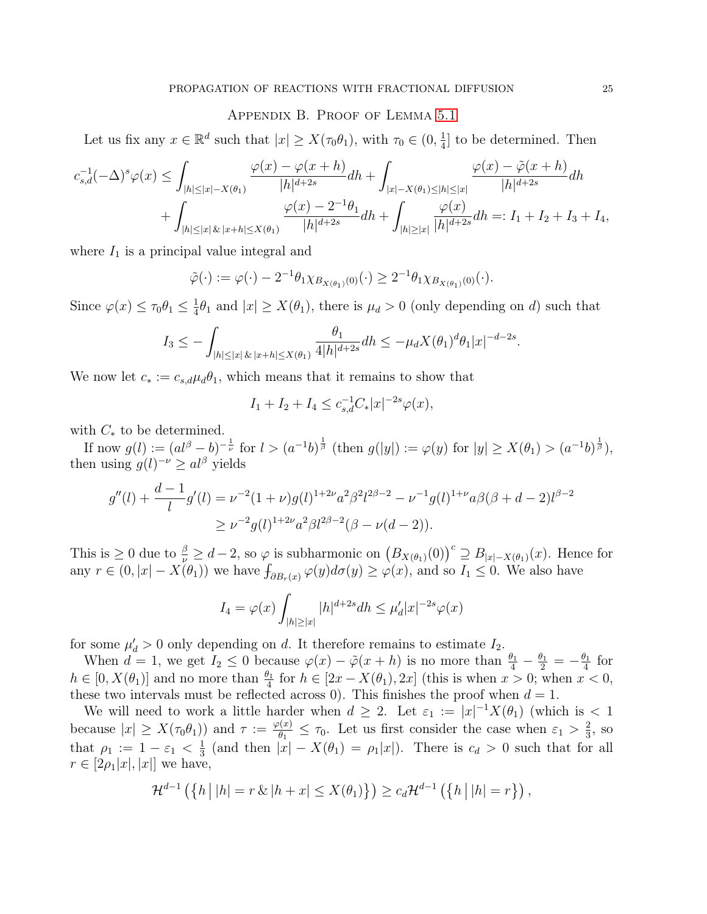### Appendix B. Proof of Lemma [5.1](#page-17-0)

Let us fix any  $x \in \mathbb{R}^d$  such that  $|x| \ge X(\tau_0 \theta_1)$ , with  $\tau_0 \in (0, \frac{1}{4})$  $\frac{1}{4}$  to be determined. Then

$$
\begin{aligned} c_{s,d}^{-1}(-\Delta)^s \varphi(x) &\leq \int_{|h| \leq |x| - X(\theta_1)} \frac{\varphi(x) - \varphi(x+h)}{|h|^{d+2s}} dh + \int_{|x| - X(\theta_1) \leq |h| \leq |x|} \frac{\varphi(x) - \tilde{\varphi}(x+h)}{|h|^{d+2s}} dh \\ &+ \int_{|h| \leq |x| \, \& \, |x+h| \leq X(\theta_1)} \frac{\varphi(x) - 2^{-1} \theta_1}{|h|^{d+2s}} dh + \int_{|h| \geq |x|} \frac{\varphi(x)}{|h|^{d+2s}} dh =: I_1 + I_2 + I_3 + I_4, \end{aligned}
$$

where  $I_1$  is a principal value integral and

$$
\tilde{\varphi}(\cdot) := \varphi(\cdot) - 2^{-1} \theta_1 \chi_{B_{X(\theta_1)}(0)}(\cdot) \ge 2^{-1} \theta_1 \chi_{B_{X(\theta_1)}(0)}(\cdot).
$$

Since  $\varphi(x) \leq \tau_0 \theta_1 \leq \frac{1}{4}$  $\frac{1}{4}\theta_1$  and  $|x| \ge X(\theta_1)$ , there is  $\mu_d > 0$  (only depending on d) such that

$$
I_3 \leq -\int_{|h| \leq |x| \, \& \, |x+h| \leq X(\theta_1)} \frac{\theta_1}{4|h|^{d+2s}} dh \leq -\mu_d X(\theta_1)^d \theta_1 |x|^{-d-2s}.
$$

We now let  $c_* := c_{s,d} \mu_d \theta_1$ , which means that it remains to show that

$$
I_1 + I_2 + I_4 \le c_{s,d}^{-1} C_* |x|^{-2s} \varphi(x),
$$

with  $C_*$  to be determined.

If now  $g(l) := (al^{\beta} - b)^{-\frac{1}{\nu}}$  for  $l > (a^{-1}b)^{\frac{1}{\beta}}$  (then  $g(|y|) := \varphi(y)$  for  $|y| \ge X(\theta_1) > (a^{-1}b)^{\frac{1}{\beta}}$ ), then using  $g(l)^{-\nu} \geq al^{\beta}$  yields

$$
g''(l) + \frac{d-1}{l}g'(l) = \nu^{-2}(1+\nu)g(l)^{1+2\nu}a^2\beta^2l^{2\beta-2} - \nu^{-1}g(l)^{1+\nu}a\beta(\beta+d-2)l^{\beta-2}
$$
  
 
$$
\geq \nu^{-2}g(l)^{1+2\nu}a^2\beta l^{2\beta-2}(\beta-\nu(d-2)).
$$

This is  $\geq 0$  due to  $\frac{\beta}{\nu} \geq d-2$ , so  $\varphi$  is subharmonic on  $\big(B_{X(\theta_1)}(0)\big)^c \supseteq B_{|x|-X(\theta_1)}(x)$ . Hence for any  $r \in (0, |x| - X(\theta_1))$  we have  $\int_{\partial B_r(x)} \varphi(y) d\sigma(y) \ge \varphi(x)$ , and so  $I_1 \le 0$ . We also have

$$
I_4 = \varphi(x) \int_{|h| \ge |x|} |h|^{d+2s} dh \le \mu'_d |x|^{-2s} \varphi(x)
$$

for some  $\mu'_d > 0$  only depending on d. It therefore remains to estimate  $I_2$ .

When  $d = 1$ , we get  $I_2 \leq 0$  because  $\varphi(x) - \tilde{\varphi}(x+h)$  is no more than  $\frac{\theta_1}{4} - \frac{\theta_1}{2} = -\frac{\theta_1}{4}$  $rac{y_1}{4}$  for  $h \in [0, X(\theta_1)]$  and no more than  $\frac{\theta_1}{4}$  for  $h \in [2x - X(\theta_1), 2x]$  (this is when  $x > 0$ ; when  $x < 0$ , these two intervals must be reflected across 0). This finishes the proof when  $d = 1$ .

We will need to work a little harder when  $d \geq 2$ . Let  $\varepsilon_1 := |x|^{-1} X(\theta_1)$  (which is  $\lt 1$ because  $|x| \ge X(\tau_0 \theta_1)$  and  $\tau := \frac{\varphi(x)}{\theta_1}$  $\frac{\beta(x)}{\theta_1} \leq \tau_0$ . Let us first consider the case when  $\varepsilon_1 > \frac{2}{3}$  $\frac{2}{3}$ , so that  $\rho_1 := 1 - \varepsilon_1 < \frac{1}{3}$  $\frac{1}{3}$  (and then  $|x| - X(\theta_1) = \rho_1|x|$ ). There is  $c_d > 0$  such that for all  $r \in [2\rho_1|x|, |x|]$  we have,

$$
\mathcal{H}^{d-1}(\left\{h \,|\, |h| = r \,\&\, |h + x| \leq X(\theta_1) \right\}) \geq c_d \mathcal{H}^{d-1}(\left\{h \,|\, |h| = r \right\}),
$$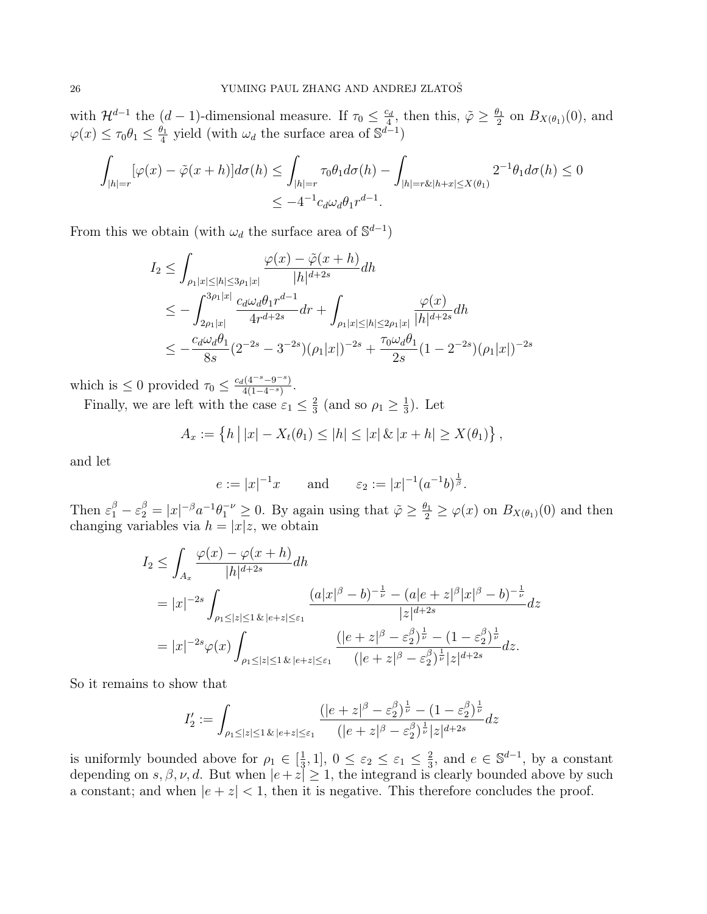with  $\mathcal{H}^{d-1}$  the  $(d-1)$ -dimensional measure. If  $\tau_0 \leq \frac{c_d}{4}$  $\frac{c_d}{4}$ , then this,  $\tilde{\varphi} \geq \frac{\theta_1}{2}$  $\frac{\partial_1}{\partial_2}$  on  $B_{X(\theta_1)}(0)$ , and  $\varphi(x) \leq \tau_0 \theta_1 \leq \frac{\theta_1}{4}$  $\frac{\partial_1}{\partial_4}$  yield (with  $\omega_d$  the surface area of  $\mathbb{S}^{d-1}$ )

$$
\int_{|h|=r} [\varphi(x) - \tilde{\varphi}(x+h)] d\sigma(h) \le \int_{|h|=r} \tau_0 \theta_1 d\sigma(h) - \int_{|h|=r\&h+x| \le X(\theta_1)} 2^{-1} \theta_1 d\sigma(h) \le 0
$$
  

$$
\le -4^{-1} c_d \omega_d \theta_1 r^{d-1}.
$$

From this we obtain (with  $\omega_d$  the surface area of  $\mathbb{S}^{d-1}$ )

$$
I_2 \leq \int_{\rho_1|x| \leq |h| \leq 3\rho_1|x|} \frac{\varphi(x) - \tilde{\varphi}(x+h)}{|h|^{d+2s}} dh
$$
  
\n
$$
\leq -\int_{2\rho_1|x|}^{3\rho_1|x|} \frac{c_d\omega_d\theta_1 r^{d-1}}{4r^{d+2s}} dr + \int_{\rho_1|x| \leq |h| \leq 2\rho_1|x|} \frac{\varphi(x)}{|h|^{d+2s}} dh
$$
  
\n
$$
\leq -\frac{c_d\omega_d\theta_1}{8s} (2^{-2s} - 3^{-2s})(\rho_1|x|)^{-2s} + \frac{\tau_0\omega_d\theta_1}{2s} (1 - 2^{-2s})(\rho_1|x|)^{-2s}
$$

which is  $\leq 0$  provided  $\tau_0 \leq \frac{c_d(4^{-s}-9^{-s})}{4(1-4^{-s})}$  $\frac{4^{(4-s-9-s)}}{4(1-4^{-s})}$ .

Finally, we are left with the case  $\varepsilon_1 \leq \frac{2}{3}$  $\frac{2}{3}$  (and so  $\rho_1 \ge \frac{1}{3}$  $\frac{1}{3}$ ). Let

$$
A_x := \{ h | |x| - X_t(\theta_1) \le |h| \le |x| \& |x + h| \ge X(\theta_1) \},
$$

and let

$$
e := |x|^{-1}x
$$
 and  $\varepsilon_2 := |x|^{-1}(a^{-1}b)^{\frac{1}{\beta}}$ .

Then  $\varepsilon_1^{\beta} - \varepsilon_2^{\beta} = |x|^{-\beta} a^{-1} \theta_1^{-\nu} \ge 0$ . By again using that  $\tilde{\varphi} \ge \frac{\theta_1}{2} \ge \varphi(x)$  on  $B_{X(\theta_1)}(0)$  and then changing variables via  $h = |x|z$ , we obtain

$$
I_2 \leq \int_{A_x} \frac{\varphi(x) - \varphi(x+h)}{|h|^{d+2s}} dh
$$
  
=  $|x|^{-2s} \int_{\rho_1 \leq |z| \leq 1} \frac{(a|x|^\beta - b)^{-\frac{1}{\nu}} - (a|e+z|^\beta |x|^\beta - b)^{-\frac{1}{\nu}}}{|z|^{d+2s}} dz$   
=  $|x|^{-2s} \varphi(x) \int_{\rho_1 \leq |z| \leq 1} \frac{(|e+z|^\beta - \varepsilon_2^\beta)^{\frac{1}{\nu}} - (1 - \varepsilon_2^\beta)^{\frac{1}{\nu}}}{(|e+z|^\beta - \varepsilon_2^\beta)^{\frac{1}{\nu}} |z|^{d+2s}} dz.$ 

So it remains to show that

$$
I_2' := \int_{\rho_1 \le |z| \le 1} \sum_{k} \frac{(|e+z|^{\beta} - \varepsilon_2^{\beta})^{\frac{1}{\nu}} - (1 - \varepsilon_2^{\beta})^{\frac{1}{\nu}}}{(|e+z|^{\beta} - \varepsilon_2^{\beta})^{\frac{1}{\nu}}|z|^{d+2s}} dz
$$

is uniformly bounded above for  $\rho_1 \in \left[\frac{1}{3}\right]$  $\frac{1}{3}$ , 1],  $0 \leq \varepsilon_2 \leq \varepsilon_1 \leq \frac{2}{3}$  $\frac{2}{3}$ , and  $e \in \mathbb{S}^{d-1}$ , by a constant depending on  $s, \beta, \nu, d$ . But when  $|e+z| \geq 1$ , the integrand is clearly bounded above by such a constant; and when  $|e + z| < 1$ , then it is negative. This therefore concludes the proof.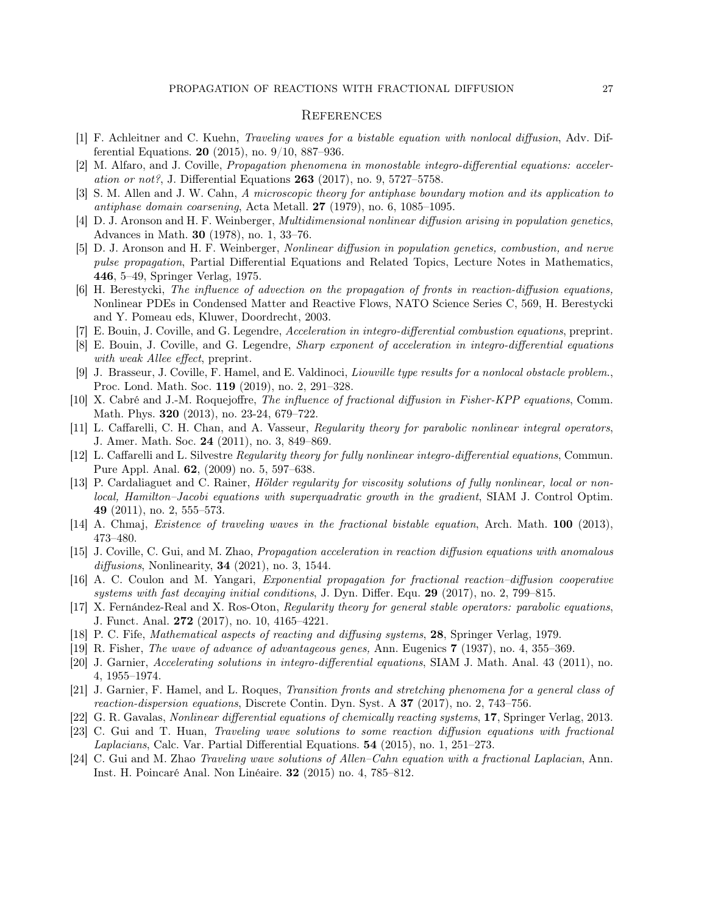#### **REFERENCES**

- <span id="page-26-11"></span>[1] F. Achleitner and C. Kuehn, Traveling waves for a bistable equation with nonlocal diffusion, Adv. Differential Equations. 20 (2015), no. 9/10, 887–936.
- <span id="page-26-4"></span>[2] M. Alfaro, and J. Coville, Propagation phenomena in monostable integro-differential equations: acceleration or not?, J. Differential Equations  $263$  (2017), no. 9, 5727–5758.
- <span id="page-26-9"></span>[3] S. M. Allen and J. W. Cahn, A microscopic theory for antiphase boundary motion and its application to antiphase domain coarsening, Acta Metall.  $27$  (1979), no. 6, 1085–1095.
- <span id="page-26-1"></span>[4] D. J. Aronson and H. F. Weinberger, Multidimensional nonlinear diffusion arising in population genetics, Advances in Math. 30 (1978), no. 1, 33–76.
- <span id="page-26-10"></span>[5] D. J. Aronson and H. F. Weinberger, Nonlinear diffusion in population genetics, combustion, and nerve pulse propagation, Partial Differential Equations and Related Topics, Lecture Notes in Mathematics, 446, 5–49, Springer Verlag, 1975.
- <span id="page-26-6"></span>[6] H. Berestycki, The influence of advection on the propagation of fronts in reaction-diffusion equations, Nonlinear PDEs in Condensed Matter and Reactive Flows, NATO Science Series C, 569, H. Berestycki and Y. Pomeau eds, Kluwer, Doordrecht, 2003.
- <span id="page-26-20"></span>[7] E. Bouin, J. Coville, and G. Legendre, Acceleration in integro-differential combustion equations, preprint.
- <span id="page-26-5"></span>[8] E. Bouin, J. Coville, and G. Legendre, Sharp exponent of acceleration in integro-differential equations with weak *Allee* effect, preprint.
- <span id="page-26-19"></span>[9] J. Brasseur, J. Coville, F. Hamel, and E. Valdinoci, *Liouville type results for a nonlocal obstacle problem.*, Proc. Lond. Math. Soc. 119 (2019), no. 2, 291–328.
- <span id="page-26-2"></span>[10] X. Cabré and J.-M. Roquejoffre, The influence of fractional diffusion in Fisher-KPP equations, Comm. Math. Phys. 320 (2013), no. 23-24, 679–722.
- <span id="page-26-21"></span>[11] L. Caffarelli, C. H. Chan, and A. Vasseur, Regularity theory for parabolic nonlinear integral operators, J. Amer. Math. Soc. 24 (2011), no. 3, 849–869.
- <span id="page-26-23"></span>[12] L. Caffarelli and L. Silvestre Regularity theory for fully nonlinear integro-differential equations, Commun. Pure Appl. Anal. 62, (2009) no. 5, 597–638.
- <span id="page-26-22"></span>[13] P. Cardaliaguet and C. Rainer, *Hölder regularity for viscosity solutions of fully nonlinear, local or non*local, Hamilton–Jacobi equations with superquadratic growth in the gradient, SIAM J. Control Optim. 49 (2011), no. 2, 555–573.
- <span id="page-26-12"></span>[14] A. Chmaj, Existence of traveling waves in the fractional bistable equation, Arch. Math. 100 (2013), 473–480.
- <span id="page-26-15"></span>[15] J. Coville, C. Gui, and M. Zhao, Propagation acceleration in reaction diffusion equations with anomalous diffusions, Nonlinearity, **34** (2021), no. 3, 1544.
- <span id="page-26-16"></span>[16] A. C. Coulon and M. Yangari, Exponential propagation for fractional reaction–diffusion cooperative systems with fast decaying initial conditions, J. Dyn. Differ. Equ.  $29$  (2017), no. 2, 799–815.
- <span id="page-26-18"></span>[17] X. Fernández-Real and X. Ros-Oton, Regularity theory for general stable operators: parabolic equations, J. Funct. Anal. 272 (2017), no. 10, 4165–4221.
- <span id="page-26-7"></span>[18] P. C. Fife, Mathematical aspects of reacting and diffusing systems, 28, Springer Verlag, 1979.
- <span id="page-26-0"></span>[19] R. Fisher, The wave of advance of advantageous genes, Ann. Eugenics 7 (1937), no. 4, 355–369.
- <span id="page-26-3"></span>[20] J. Garnier, Accelerating solutions in integro-differential equations, SIAM J. Math. Anal. 43 (2011), no. 4, 1955–1974.
- <span id="page-26-17"></span>[21] J. Garnier, F. Hamel, and L. Roques, Transition fronts and stretching phenomena for a general class of reaction-dispersion equations, Discrete Contin. Dyn. Syst. A 37 (2017), no. 2, 743–756.
- <span id="page-26-8"></span>[22] G. R. Gavalas, Nonlinear differential equations of chemically reacting systems, 17, Springer Verlag, 2013.
- <span id="page-26-14"></span>[23] C. Gui and T. Huan, Traveling wave solutions to some reaction diffusion equations with fractional Laplacians, Calc. Var. Partial Differential Equations. 54 (2015), no. 1, 251–273.
- <span id="page-26-13"></span>[24] C. Gui and M. Zhao Traveling wave solutions of Allen–Cahn equation with a fractional Laplacian, Ann. Inst. H. Poincaré Anal. Non Linéaire. 32 (2015) no. 4, 785–812.